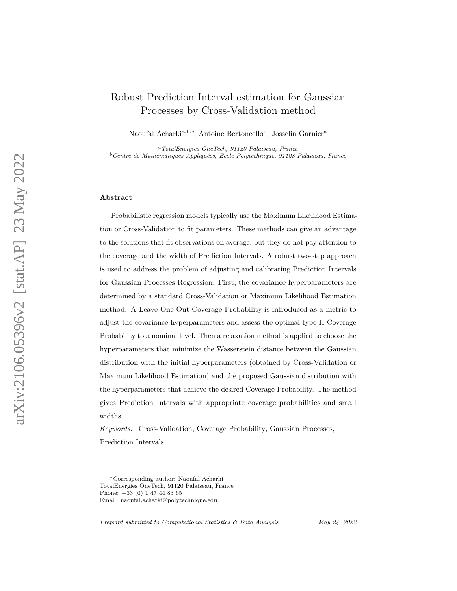# Robust Prediction Interval estimation for Gaussian Processes by Cross-Validation method

Naoufal Acharki<sup>a, b,\*</sup>, Antoine Bertoncello<sup>b</sup>, Josselin Garnier<sup>a</sup>

*<sup>a</sup>TotalEnergies OneTech, 91120 Palaiseau, France <sup>b</sup>Centre de Mathématiques Appliquées, Ecole Polytechnique, 91128 Palaiseau, France*

#### **Abstract**

Probabilistic regression models typically use the Maximum Likelihood Estimation or Cross-Validation to fit parameters. These methods can give an advantage to the solutions that fit observations on average, but they do not pay attention to the coverage and the width of Prediction Intervals. A robust two-step approach is used to address the problem of adjusting and calibrating Prediction Intervals for Gaussian Processes Regression. First, the covariance hyperparameters are determined by a standard Cross-Validation or Maximum Likelihood Estimation method. A Leave-One-Out Coverage Probability is introduced as a metric to adjust the covariance hyperparameters and assess the optimal type II Coverage Probability to a nominal level. Then a relaxation method is applied to choose the hyperparameters that minimize the Wasserstein distance between the Gaussian distribution with the initial hyperparameters (obtained by Cross-Validation or Maximum Likelihood Estimation) and the proposed Gaussian distribution with the hyperparameters that achieve the desired Coverage Probability. The method gives Prediction Intervals with appropriate coverage probabilities and small widths.

*Keywords:* Cross-Validation, Coverage Probability, Gaussian Processes, Prediction Intervals

*Preprint submitted to Computational Statistics & Data Analysis May 24, 2022*

<sup>∗</sup>Corresponding author: Naoufal Acharki TotalEnergies OneTech, 91120 Palaiseau, France

Phone: +33 (0) 1 47 44 83 65

Email: naoufal.acharki@polytechnique.edu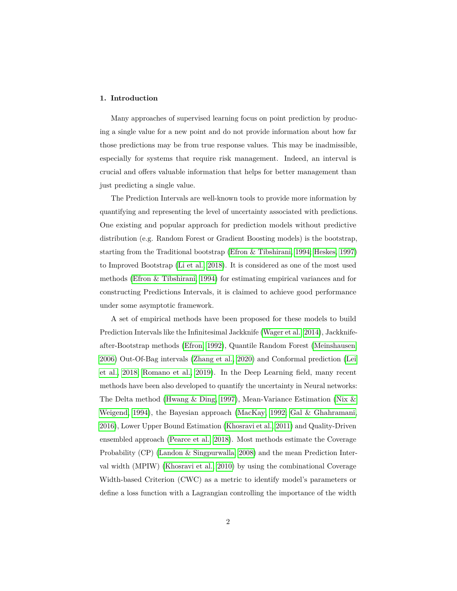# <span id="page-1-0"></span>**1. Introduction**

Many approaches of supervised learning focus on point prediction by producing a single value for a new point and do not provide information about how far those predictions may be from true response values. This may be inadmissible, especially for systems that require risk management. Indeed, an interval is crucial and offers valuable information that helps for better management than just predicting a single value.

The Prediction Intervals are well-known tools to provide more information by quantifying and representing the level of uncertainty associated with predictions. One existing and popular approach for prediction models without predictive distribution (e.g. Random Forest or Gradient Boosting models) is the bootstrap, starting from the Traditional bootstrap [\(Efron & Tibshirani, 1994;](#page-35-0) [Heskes, 1997\)](#page-36-0) to Improved Bootstrap [\(Li et al., 2018\)](#page-37-0). It is considered as one of the most used methods [\(Efron & Tibshirani, 1994\)](#page-35-0) for estimating empirical variances and for constructing Predictions Intervals, it is claimed to achieve good performance under some asymptotic framework.

A set of empirical methods have been proposed for these models to build Prediction Intervals like the Infinitesimal Jackknife [\(Wager et al., 2014\)](#page-40-0), Jackknifeafter-Bootstrap methods [\(Efron, 1992\)](#page-35-1), Quantile Random Forest [\(Meinshausen,](#page-37-1) [2006\)](#page-37-1) Out-Of-Bag intervals [\(Zhang et al., 2020\)](#page-40-1) and Conformal prediction [\(Lei](#page-37-2) [et al., 2018;](#page-37-2) [Romano et al., 2019\)](#page-39-0). In the Deep Learning field, many recent methods have been also developed to quantify the uncertainty in Neural networks: The Delta method [\(Hwang & Ding, 1997\)](#page-36-1), Mean-Variance Estimation [\(Nix &](#page-38-0) [Weigend, 1994\)](#page-38-0), the Bayesian approach [\(MacKay, 1992;](#page-37-3) [Gal & Ghahramani,](#page-35-2) [2016\)](#page-35-2), Lower Upper Bound Estimation [\(Khosravi et al., 2011\)](#page-36-2) and Quality-Driven ensembled approach [\(Pearce et al., 2018\)](#page-38-1). Most methods estimate the Coverage Probability (CP) [\(Landon & Singpurwalla, 2008\)](#page-36-3) and the mean Prediction Interval width (MPIW) [\(Khosravi et al., 2010\)](#page-36-4) by using the combinational Coverage Width-based Criterion (CWC) as a metric to identify model's parameters or define a loss function with a Lagrangian controlling the importance of the width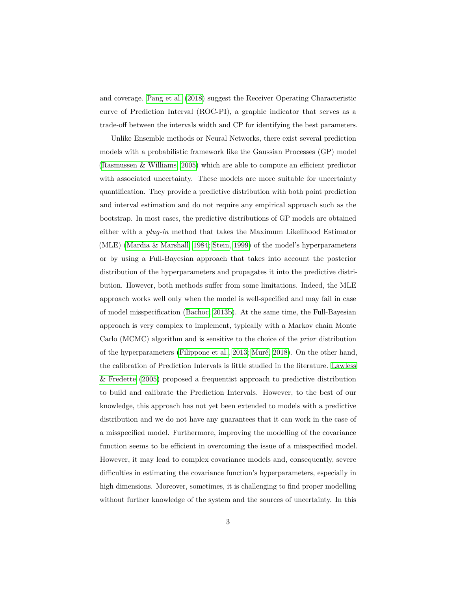and coverage. [Pang et al.](#page-38-2) [\(2018\)](#page-38-2) suggest the Receiver Operating Characteristic curve of Prediction Interval (ROC-PI), a graphic indicator that serves as a trade-off between the intervals width and CP for identifying the best parameters.

Unlike Ensemble methods or Neural Networks, there exist several prediction models with a probabilistic framework like the Gaussian Processes (GP) model [\(Rasmussen & Williams, 2005\)](#page-38-3) which are able to compute an efficient predictor with associated uncertainty. These models are more suitable for uncertainty quantification. They provide a predictive distribution with both point prediction and interval estimation and do not require any empirical approach such as the bootstrap. In most cases, the predictive distributions of GP models are obtained either with a *plug-in* method that takes the Maximum Likelihood Estimator (MLE) [\(Mardia & Marshall, 1984;](#page-37-4) [Stein, 1999\)](#page-39-1) of the model's hyperparameters or by using a Full-Bayesian approach that takes into account the posterior distribution of the hyperparameters and propagates it into the predictive distribution. However, both methods suffer from some limitations. Indeed, the MLE approach works well only when the model is well-specified and may fail in case of model misspecification [\(Bachoc, 2013b\)](#page-34-0). At the same time, the Full-Bayesian approach is very complex to implement, typically with a Markov chain Monte Carlo (MCMC) algorithm and is sensitive to the choice of the *prior* distribution of the hyperparameters [\(Filippone et al., 2013;](#page-35-3) [Muré, 2018\)](#page-37-5). On the other hand, the calibration of Prediction Intervals is little studied in the literature. [Lawless](#page-37-6) [& Fredette](#page-37-6) [\(2005\)](#page-37-6) proposed a frequentist approach to predictive distribution to build and calibrate the Prediction Intervals. However, to the best of our knowledge, this approach has not yet been extended to models with a predictive distribution and we do not have any guarantees that it can work in the case of a misspecified model. Furthermore, improving the modelling of the covariance function seems to be efficient in overcoming the issue of a misspecified model. However, it may lead to complex covariance models and, consequently, severe difficulties in estimating the covariance function's hyperparameters, especially in high dimensions. Moreover, sometimes, it is challenging to find proper modelling without further knowledge of the system and the sources of uncertainty. In this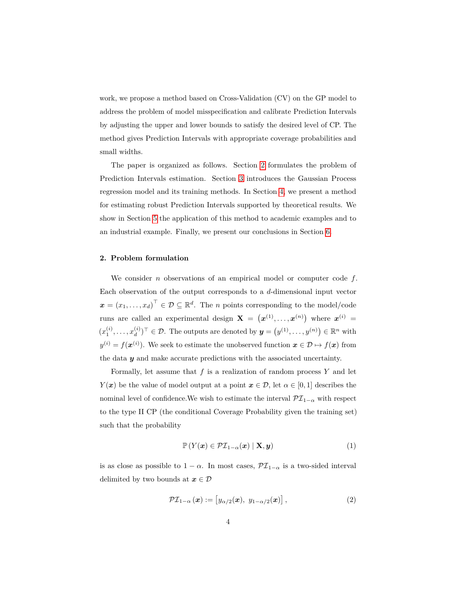work, we propose a method based on Cross-Validation (CV) on the GP model to address the problem of model misspecification and calibrate Prediction Intervals by adjusting the upper and lower bounds to satisfy the desired level of CP. The method gives Prediction Intervals with appropriate coverage probabilities and small widths.

The paper is organized as follows. Section [2](#page-3-0) formulates the problem of Prediction Intervals estimation. Section [3](#page-4-0) introduces the Gaussian Process regression model and its training methods. In Section [4,](#page-11-0) we present a method for estimating robust Prediction Intervals supported by theoretical results. We show in Section [5](#page-18-0) the application of this method to academic examples and to an industrial example. Finally, we present our conclusions in Section [6.](#page-32-0)

# <span id="page-3-0"></span>**2. Problem formulation**

We consider *n* observations of an empirical model or computer code *f*. Each observation of the output corresponds to a *d*-dimensional input vector  $\boldsymbol{x} = (x_1, \dots, x_d)^\top \in \mathcal{D} \subseteq \mathbb{R}^d$ . The *n* points corresponding to the model/code runs are called an experimental design  $X = (x^{(1)}, \ldots, x^{(n)})$  where  $x^{(i)} =$  $(x_1^{(i)}, \ldots, x_d^{(i)})$  $(y^{(i)})^{\top} \in \mathcal{D}$ . The outputs are denoted by  $y = (y^{(1)}, \ldots, y^{(n)}) \in \mathbb{R}^n$  with  $y^{(i)} = f(x^{(i)})$ . We seek to estimate the unobserved function  $x \in \mathcal{D} \mapsto f(x)$  from the data *y* and make accurate predictions with the associated uncertainty.

Formally, let assume that *f* is a realization of random process *Y* and let *Y*(*x*) be the value of model output at a point  $x \in \mathcal{D}$ , let  $\alpha \in [0,1]$  describes the nominal level of confidence.We wish to estimate the interval  $\mathcal{PI}_{1-\alpha}$  with respect to the type II CP (the conditional Coverage Probability given the training set) such that the probability

<span id="page-3-1"></span>
$$
\mathbb{P}\left(Y(\boldsymbol{x}) \in \mathcal{PI}_{1-\alpha}(\boldsymbol{x}) \mid \mathbf{X}, \boldsymbol{y}\right) \tag{1}
$$

is as close as possible to  $1 - \alpha$ . In most cases,  $\mathcal{PI}_{1-\alpha}$  is a two-sided interval delimited by two bounds at  $x \in \mathcal{D}$ 

$$
\mathcal{PI}_{1-\alpha}(\boldsymbol{x}) := \left[ y_{\alpha/2}(\boldsymbol{x}), \ y_{1-\alpha/2}(\boldsymbol{x}) \right],\tag{2}
$$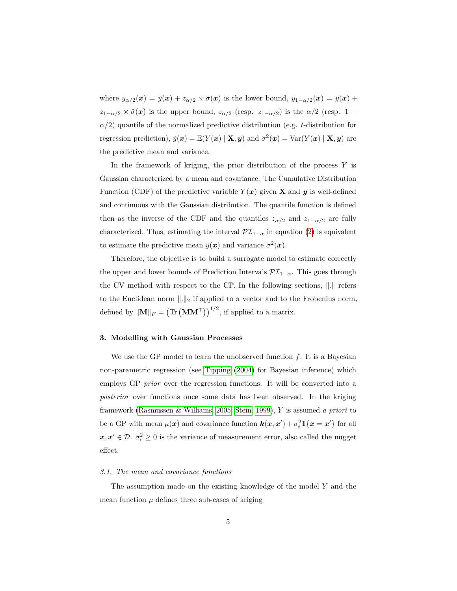where  $y_{\alpha/2}(x) = \tilde{y}(x) + z_{\alpha/2} \times \tilde{\sigma}(x)$  is the lower bound,  $y_{1-\alpha/2}(x) = \tilde{y}(x) + z_{\alpha/2}(x)$  $z_{1-\alpha/2} \times \tilde{\sigma}(\boldsymbol{x})$  is the upper bound,  $z_{\alpha/2}$  (resp.  $z_{1-\alpha/2}$ ) is the  $\alpha/2$  (resp. 1 – *α/*2) quantile of the normalized predictive distribution (e.g. *t*-distribution for regression prediction),  $\tilde{y}(x) = \mathbb{E}(Y(x) | \mathbf{X}, y)$  and  $\tilde{\sigma}^2(x) = \text{Var}(Y(x) | \mathbf{X}, y)$  are the predictive mean and variance.

In the framework of kriging, the prior distribution of the process *Y* is Gaussian characterized by a mean and covariance. The Cumulative Distribution Function (CDF) of the predictive variable  $Y(x)$  given **X** and **y** is well-defined and continuous with the Gaussian distribution. The quantile function is defined then as the inverse of the CDF and the quantiles  $z_{\alpha/2}$  and  $z_{1-\alpha/2}$  are fully characterized. Thus, estimating the interval  $\mathcal{PI}_{1-\alpha}$  in equation [\(2\)](#page-3-1) is equivalent to estimate the predictive mean  $\tilde{y}(x)$  and variance  $\tilde{\sigma}^2(x)$ .

Therefore, the objective is to build a surrogate model to estimate correctly the upper and lower bounds of Prediction Intervals  $\mathcal{PI}_{1-\alpha}$ . This goes through the CV method with respect to the CP. In the following sections,  $\|\cdot\|$  refers to the Euclidean norm  $\|.\|_2$  if applied to a vector and to the Frobenius norm, defined by  $\|\mathbf{M}\|_F = (\text{Tr} (\mathbf{M}\mathbf{M}^\top))^{1/2}$ , if applied to a matrix.

# <span id="page-4-0"></span>**3. Modelling with Gaussian Processes**

We use the GP model to learn the unobserved function *f*. It is a Bayesian non-parametric regression (see [Tipping](#page-40-2) [\(2004\)](#page-40-2) for Bayesian inference) which employs GP *prior* over the regression functions. It will be converted into a *posterior* over functions once some data has been observed. In the kriging framework [\(Rasmussen & Williams, 2005;](#page-38-3) [Stein, 1999\)](#page-39-1), *Y* is assumed *a priori* to be a GP with mean  $\mu(x)$  and covariance function  $\mathbf{k}(x, x') + \sigma_{\epsilon}^2 \mathbf{1}\{x = x'\}$  for all  $x, x' \in \mathcal{D}$ .  $\sigma_{\epsilon}^2 \ge 0$  is the variance of measurement error, also called the nugget effect.

#### <span id="page-4-1"></span>*3.1. The mean and covariance functions*

The assumption made on the existing knowledge of the model *Y* and the mean function  $\mu$  defines three sub-cases of kriging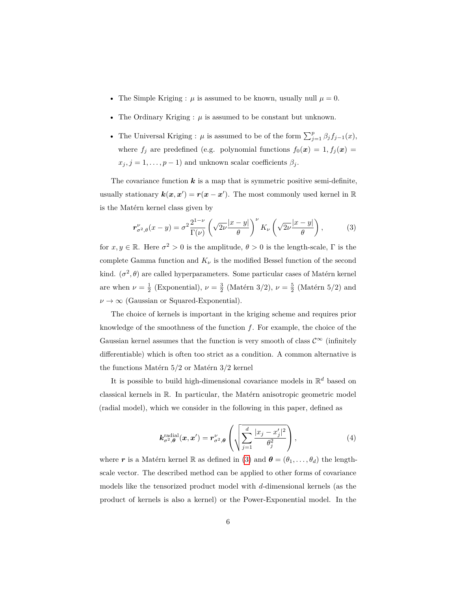- The Simple Kriging :  $\mu$  is assumed to be known, usually null  $\mu = 0$ .
- The Ordinary Kriging  $:\mu$  is assumed to be constant but unknown.
- The Universal Kriging :  $\mu$  is assumed to be of the form  $\sum_{j=1}^{p} \beta_j f_{j-1}(x)$ , where  $f_j$  are predefined (e.g. polynomial functions  $f_0(\mathbf{x}) = 1, f_j(\mathbf{x}) = 1$  $x_j$ ,  $j = 1, \ldots, p - 1$ ) and unknown scalar coefficients  $\beta_j$ .

The covariance function  $k$  is a map that is symmetric positive semi-definite, usually stationary  $k(x, x') = r(x - x')$ . The most commonly used kernel in R is the Matérn kernel class given by

<span id="page-5-0"></span>
$$
\mathbf{r}_{\sigma^2,\theta}^{\nu}(x-y) = \sigma^2 \frac{2^{1-\nu}}{\Gamma(\nu)} \left(\sqrt{2\nu} \frac{|x-y|}{\theta}\right)^{\nu} K_{\nu} \left(\sqrt{2\nu} \frac{|x-y|}{\theta}\right),\tag{3}
$$

for  $x, y \in \mathbb{R}$ . Here  $\sigma^2 > 0$  is the amplitude,  $\theta > 0$  is the length-scale,  $\Gamma$  is the complete Gamma function and  $K_{\nu}$  is the modified Bessel function of the second kind.  $(\sigma^2, \theta)$  are called hyperparameters. Some particular cases of Matérn kernel are when  $\nu = \frac{1}{2}$  (Exponential),  $\nu = \frac{3}{2}$  (Matérn 3/2),  $\nu = \frac{5}{2}$  (Matérn 5/2) and  $\nu \rightarrow \infty$  (Gaussian or Squared-Exponential).

The choice of kernels is important in the kriging scheme and requires prior knowledge of the smoothness of the function *f*. For example, the choice of the Gaussian kernel assumes that the function is very smooth of class  $\mathcal{C}^{\infty}$  (infinitely differentiable) which is often too strict as a condition. A common alternative is the functions Matérn 5/2 or Matérn 3/2 kernel

It is possible to build high-dimensional covariance models in  $\mathbb{R}^d$  based on classical kernels in R. In particular, the Matérn anisotropic geometric model (radial model), which we consider in the following in this paper, defined as

$$
\boldsymbol{k}_{\sigma^2,\boldsymbol{\theta}}^{\text{radial}}(\boldsymbol{x},\boldsymbol{x}') = \boldsymbol{r}_{\sigma^2,\boldsymbol{\theta}}^{\nu} \left( \sqrt{\sum_{j=1}^d \frac{|x_j - x'_j|^2}{\theta_j^2}} \right), \tag{4}
$$

where r is a Matérn kernel R as defined in [\(3\)](#page-5-0) and  $\boldsymbol{\theta} = (\theta_1, \dots, \theta_d)$  the lengthscale vector. The described method can be applied to other forms of covariance models like the tensorized product model with *d*-dimensional kernels (as the product of kernels is also a kernel) or the Power-Exponential model. In the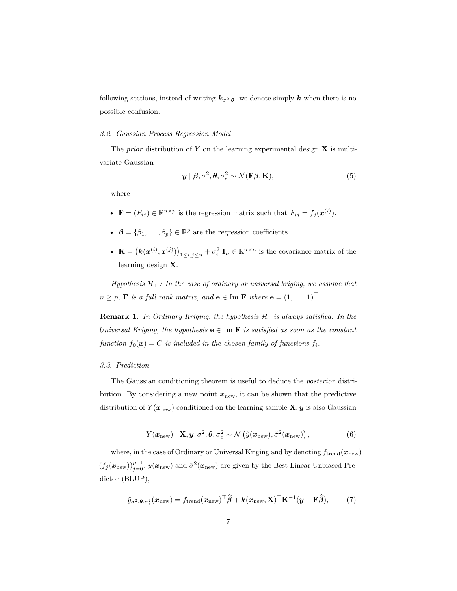following sections, instead of writing  $k_{\sigma^2, \theta}$ , we denote simply *k* when there is no possible confusion.

#### *3.2. Gaussian Process Regression Model*

The *prior* distribution of *Y* on the learning experimental design **X** is multivariate Gaussian

$$
\mathbf{y} \mid \boldsymbol{\beta}, \sigma^2, \boldsymbol{\theta}, \sigma^2 \sim \mathcal{N}(\mathbf{F}\boldsymbol{\beta}, \mathbf{K}), \tag{5}
$$

where

- $\mathbf{F} = (F_{ij}) \in \mathbb{R}^{n \times p}$  is the regression matrix such that  $F_{ij} = f_j(\boldsymbol{x}^{(i)})$ .
- $\beta = {\beta_1, ..., \beta_p} \in \mathbb{R}^p$  are the regression coefficients.
- **K** =  $(k(x^{(i)}, x^{(j)}))_{1 \le i, j \le n} + \sigma_{\epsilon}^2$  **I**<sub>n</sub>  $\in \mathbb{R}^{n \times n}$  is the covariance matrix of the learning design **X**.

 $Hypothesis$   $H_1$  *: In the case of ordinary or universal kriging, we assume that*  $n \geq p$ , **F** *is a full rank matrix, and*  $\mathbf{e} \in \text{Im } \mathbf{F}$  *where*  $\mathbf{e} = (1, \ldots, 1)^\top$ *.* 

**Remark 1.** In Ordinary Kriging, the hypothesis  $\mathcal{H}_1$  is always satisfied. In the *Universal Kriging, the hypothesis*  $\mathbf{e} \in \text{Im } \mathbf{F}$  *is satisfied as soon as the constant function*  $f_0(x) = C$  *is included in the chosen family of functions*  $f_i$ *.* 

#### *3.3. Prediction*

<span id="page-6-0"></span>The Gaussian conditioning theorem is useful to deduce the *posterior* distribution. By considering a new point  $x_{\text{new}}$ , it can be shown that the predictive distribution of  $Y(\mathbf{x}_{new})$  conditioned on the learning sample **X***, y* is also Gaussian

$$
Y(\boldsymbol{x}_{\text{new}}) | \mathbf{X}, \boldsymbol{y}, \sigma^2, \boldsymbol{\theta}, \sigma^2_{\epsilon} \sim \mathcal{N}(\tilde{y}(\boldsymbol{x}_{\text{new}}), \tilde{\sigma}^2(\boldsymbol{x}_{\text{new}})),
$$
 (6)

where, in the case of Ordinary or Universal Kriging and by denoting  $f_{\text{trend}}(\boldsymbol{x}_{\text{new}})$  =  $(f_j(\bm{x}_{\text{new}}))_{j=0}^{p-1}$ ,  $y(\bm{x}_{\text{new}})$  and  $\tilde{\sigma}^2(\bm{x}_{\text{new}})$  are given by the Best Linear Unbiased Predictor (BLUP),

<span id="page-6-1"></span>
$$
\tilde{y}_{\sigma^2, \theta, \sigma_{\epsilon}^2}(\boldsymbol{x}_{\text{new}}) = f_{\text{trend}}(\boldsymbol{x}_{\text{new}})^\top \boldsymbol{\hat{\beta}} + \boldsymbol{k}(\boldsymbol{x}_{\text{new}}, \mathbf{X})^\top \mathbf{K}^{-1}(\boldsymbol{y} - \mathbf{F} \boldsymbol{\hat{\beta}}),
$$
 (7)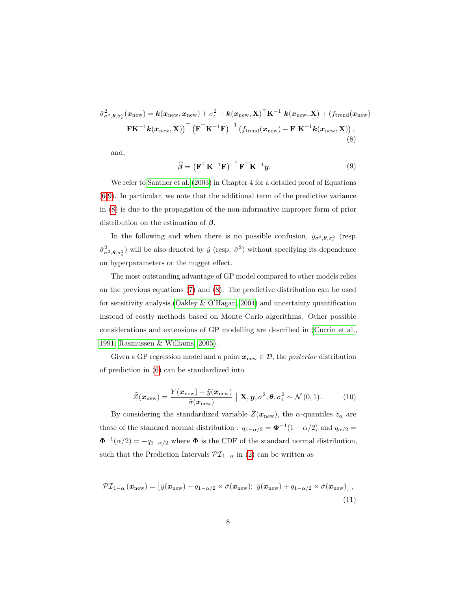<span id="page-7-1"></span>
$$
\tilde{\sigma}_{\sigma^2, \theta, \sigma_{\epsilon}}^2(\boldsymbol{x}_{\text{new}}) = \boldsymbol{k}(\boldsymbol{x}_{\text{new}}, \boldsymbol{x}_{\text{new}}) + \sigma_{\epsilon}^2 - \boldsymbol{k}(\boldsymbol{x}_{\text{new}}, \mathbf{X})^{\top} \mathbf{K}^{-1} \boldsymbol{k}(\boldsymbol{x}_{\text{new}}, \mathbf{X}) + (f_{\text{trend}}(\boldsymbol{x}_{\text{new}}) - \mathbf{F} \mathbf{K}^{-1} \boldsymbol{k}(\boldsymbol{x}_{\text{new}}, \mathbf{X}))^{\top} (\mathbf{F}^{\top} \mathbf{K}^{-1} \mathbf{F})^{-1} (f_{\text{trend}}(\boldsymbol{x}_{\text{new}}) - \mathbf{F} \mathbf{K}^{-1} \boldsymbol{k}(\boldsymbol{x}_{\text{new}}, \mathbf{X})),
$$
\n(8)

<span id="page-7-0"></span>and,

$$
\widehat{\boldsymbol{\beta}} = \left(\mathbf{F}^{\top} \mathbf{K}^{-1} \mathbf{F}\right)^{-1} \mathbf{F}^{\top} \mathbf{K}^{-1} \mathbf{y}.
$$
\n(9)

We refer to [Santner et al.](#page-39-2) [\(2003\)](#page-39-2) in Chapter 4 for a detailed proof of Equations [\(6](#page-6-0)[-9\)](#page-7-0). In particular, we note that the additional term of the predictive variance in [\(8\)](#page-7-1) is due to the propagation of the non-informative improper form of prior distribution on the estimation of *β*.

In the following and when there is no possible confusion,  $\tilde{y}_{\sigma^2,\theta,\sigma_{\epsilon}^2}$  (resp.  $(\tilde{\sigma}_{\sigma^2,\theta,\sigma_{\epsilon}^2}^2)$  will be also denoted by  $\tilde{y}$  (resp.  $\tilde{\sigma}^2$ ) without specifying its dependence on hyperparameters or the nugget effect.

The most outstanding advantage of GP model compared to other models relies on the previous equations [\(7\)](#page-6-1) and [\(8\)](#page-7-1). The predictive distribution can be used for sensitivity analysis [\(Oakley & O'Hagan, 2004\)](#page-38-4) and uncertainty quantification instead of costly methods based on Monte Carlo algorithms. Other possible considerations and extensions of GP modelling are described in [\(Currin et al.,](#page-34-1) [1991;](#page-34-1) [Rasmussen & Williams, 2005\)](#page-38-3).

Given a GP regression model and a point  $x_{\text{new}} \in \mathcal{D}$ , the *posterior* distribution of prediction in [\(6\)](#page-6-0) can be standardized into

$$
\tilde{Z}(\boldsymbol{x}_{\text{new}}) = \frac{Y(\boldsymbol{x}_{\text{new}}) - \tilde{y}(\boldsymbol{x}_{\text{new}})}{\tilde{\sigma}(\boldsymbol{x}_{\text{new}})} \mid \mathbf{X}, \boldsymbol{y}, \sigma^2, \boldsymbol{\theta}, \sigma^2_{\epsilon} \sim \mathcal{N}(0, 1).
$$
(10)

By considering the standardized variable  $\tilde{Z}(\boldsymbol{x}_{\text{new}})$ , the *α*-quantiles  $z_{\alpha}$  are those of the standard normal distribution :  $q_{1-\alpha/2} = \Phi^{-1}(1-\alpha/2)$  and  $q_{\alpha/2} =$  $\Phi^{-1}(\alpha/2) = -q_{1-\alpha/2}$  where  $\Phi$  is the CDF of the standard normal distribution, such that the Prediction Intervals  $\mathcal{PI}_{1-\alpha}$  in [\(2\)](#page-3-1) can be written as

$$
\mathcal{PI}_{1-\alpha}(\boldsymbol{x}_{\text{new}}) = \left[ \tilde{y}(\boldsymbol{x}_{\text{new}}) - q_{1-\alpha/2} \times \tilde{\sigma}(\boldsymbol{x}_{\text{new}}); \; \tilde{y}(\boldsymbol{x}_{\text{new}}) + q_{1-\alpha/2} \times \tilde{\sigma}(\boldsymbol{x}_{\text{new}}) \right],\tag{11}
$$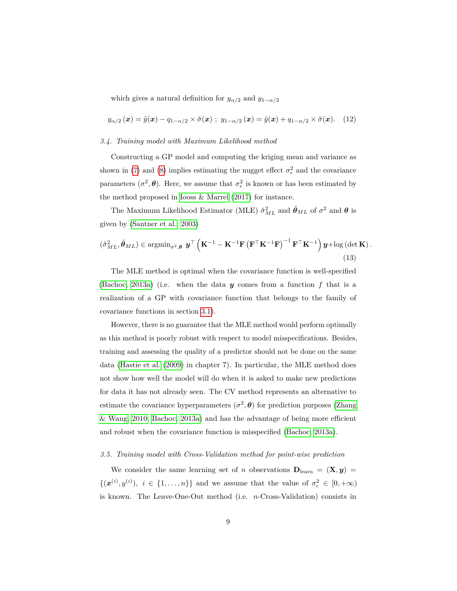which gives a natural definition for  $y_{\alpha/2}$  and  $y_{1-\alpha/2}$ 

$$
y_{\alpha/2}(\boldsymbol{x}) = \tilde{y}(\boldsymbol{x}) - q_{1-\alpha/2} \times \tilde{\sigma}(\boldsymbol{x}) \; ; \; y_{1-\alpha/2}(\boldsymbol{x}) = \tilde{y}(\boldsymbol{x}) + q_{1-\alpha/2} \times \tilde{\sigma}(\boldsymbol{x}). \tag{12}
$$

#### <span id="page-8-0"></span>*3.4. Training model with Maximum Likelihood method*

Constructing a GP model and computing the kriging mean and variance as shown in [\(7\)](#page-6-1) and [\(8\)](#page-7-1) implies estimating the nugget effect  $\sigma_{\epsilon}^2$  and the covariance parameters  $(\sigma^2, \theta)$ . Here, we assume that  $\sigma_{\epsilon}^2$  is known or has been estimated by the method proposed in [Iooss & Marrel](#page-36-5) [\(2017\)](#page-36-5) for instance.

<span id="page-8-2"></span>The Maximum Likelihood Estimator (MLE)  $\hat{\sigma}_{ML}^2$  and  $\hat{\theta}_{ML}$  of  $\sigma^2$  and  $\theta$  is given by [\(Santner et al., 2003\)](#page-39-2)

$$
\left(\hat{\sigma}_{ML}^2, \hat{\theta}_{ML}\right) \in \operatorname{argmin}_{\sigma^2, \theta} \, \boldsymbol{y}^\top \left( \mathbf{K}^{-1} - \mathbf{K}^{-1} \mathbf{F} \left( \mathbf{F}^\top \mathbf{K}^{-1} \mathbf{F} \right)^{-1} \mathbf{F}^\top \mathbf{K}^{-1} \right) \boldsymbol{y} + \log\left(\det \mathbf{K}\right). \tag{13}
$$

The MLE method is optimal when the covariance function is well-specified [\(Bachoc, 2013a\)](#page-34-2) (i.e. when the data *y* comes from a function *f* that is a realization of a GP with covariance function that belongs to the family of covariance functions in section [3.1\)](#page-4-1).

However, there is no guarantee that the MLE method would perform optimally as this method is poorly robust with respect to model misspecifications. Besides, training and assessing the quality of a predictor should not be done on the same data [\(Hastie et al.](#page-36-6) [\(2009\)](#page-36-6) in chapter 7). In particular, the MLE method does not show how well the model will do when it is asked to make new predictions for data it has not already seen. The CV method represents an alternative to estimate the covariance hyperparameters  $(\sigma^2, \theta)$  for prediction purposes [\(Zhang](#page-40-3) [& Wang, 2010;](#page-40-3) [Bachoc, 2013a\)](#page-34-2) and has the advantage of being more efficient and robust when the covariance function is misspecified [\(Bachoc, 2013a\)](#page-34-2).

### <span id="page-8-1"></span>*3.5. Training model with Cross-Validation method for point-wise prediction*

We consider the same learning set of *n* observations  $D_{\text{learn}} = (\mathbf{X}, \mathbf{y}) =$  $\{(x^{(i)}, y^{(i)}), i \in \{1, \ldots, n\}\}\$ and we assume that the value of  $\sigma_{\epsilon}^2 \in [0, +\infty)$ is known. The Leave-One-Out method (i.e. *n*-Cross-Validation) consists in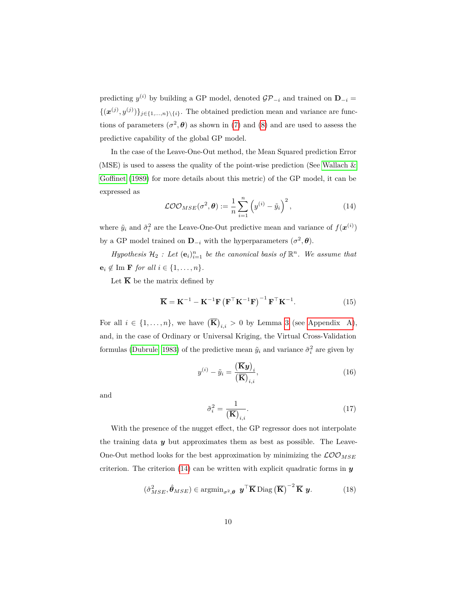predicting  $y^{(i)}$  by building a GP model, denoted  $\mathcal{GP}_{-i}$  and trained on  $\mathbf{D}_{-i}$  =  $\{(\boldsymbol{x}^{(j)}, y^{(j)})\}_{j \in \{1, ..., n\}\setminus\{i\}}$ . The obtained prediction mean and variance are functions of parameters  $(\sigma^2, \theta)$  as shown in [\(7\)](#page-6-1) and [\(8\)](#page-7-1) and are used to assess the predictive capability of the global GP model.

In the case of the Leave-One-Out method, the Mean Squared prediction Error (MSE) is used to assess the quality of the point-wise prediction (See Wallach  $\&$ [Goffinet](#page-40-4) [\(1989\)](#page-40-4) for more details about this metric) of the GP model, it can be expressed as

<span id="page-9-0"></span>
$$
\mathcal{LOO}_{MSE}(\sigma^2, \boldsymbol{\theta}) := \frac{1}{n} \sum_{i=1}^n \left( y^{(i)} - \tilde{y}_i \right)^2, \qquad (14)
$$

where  $\tilde{y}_i$  and  $\tilde{\sigma}_i^2$  are the Leave-One-Out predictive mean and variance of  $f(\boldsymbol{x}^{(i)})$ by a GP model trained on  $\mathbf{D}_{-i}$  with the hyperparameters  $(\sigma^2, \boldsymbol{\theta})$ .

*Hypothesis*  $\mathcal{H}_2$  *: Let*  $(e_i)_{i=1}^n$  *be the canonical basis of*  $\mathbb{R}^n$ *. We assume that*  $\mathbf{e}_i \notin \text{Im } \mathbf{F}$  *for all*  $i \in \{1, \ldots, n\}.$ 

Let  $\overline{K}$  be the matrix defined by

$$
\overline{\mathbf{K}} = \mathbf{K}^{-1} - \mathbf{K}^{-1} \mathbf{F} \left( \mathbf{F}^{\top} \mathbf{K}^{-1} \mathbf{F} \right)^{-1} \mathbf{F}^{\top} \mathbf{K}^{-1}.
$$
 (15)

For all  $i \in \{1, \ldots, n\}$ , we have  $\left(\overline{\mathbf{K}}\right)_{i,i} > 0$  by Lemma [3](#page-41-0) (see [Appendix A\)](#page-41-1), and, in the case of Ordinary or Universal Kriging, the Virtual Cross-Validation formulas [\(Dubrule, 1983\)](#page-35-4) of the predictive mean  $\tilde{y}_i$  and variance  $\tilde{\sigma}_i^2$  are given by

<span id="page-9-2"></span>
$$
y^{(i)} - \tilde{y}_i = \frac{(\overline{\mathbf{K}}\mathbf{y})_i}{(\overline{\mathbf{K}})_{i,i}},\tag{16}
$$

<span id="page-9-3"></span>and

<span id="page-9-1"></span>
$$
\tilde{\sigma}_i^2 = \frac{1}{\left(\overline{\mathbf{K}}\right)_{i,i}}.\tag{17}
$$

With the presence of the nugget effect, the GP regressor does not interpolate the training data *y* but approximates them as best as possible. The Leave-One-Out method looks for the best approximation by minimizing the  $\mathcal{LOO}_{MSE}$ criterion. The criterion  $(14)$  can be written with explicit quadratic forms in  $\boldsymbol{y}$ 

$$
(\hat{\sigma}_{MSE}^2, \hat{\boldsymbol{\theta}}_{MSE}) \in \operatorname{argmin}_{\sigma^2, \boldsymbol{\theta}} \ \boldsymbol{y}^\top \overline{\mathbf{K}} \operatorname{Diag} \left(\overline{\mathbf{K}}\right)^{-2} \overline{\mathbf{K}} \ \boldsymbol{y}.
$$
 (18)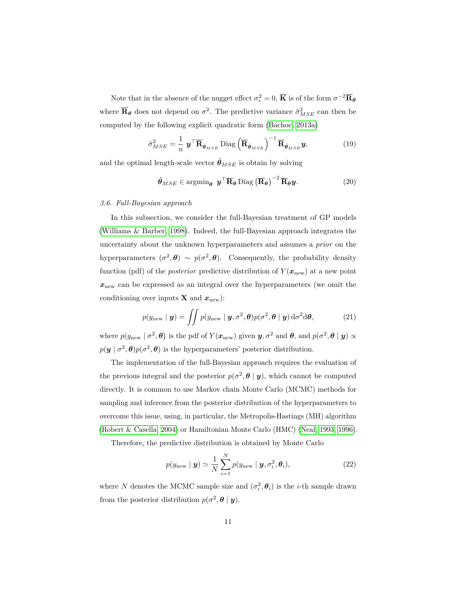Note that in the absence of the nugget effect  $\sigma_{\epsilon}^2 = 0$ ,  $\overline{K}$  is of the form  $\sigma^{-2} \overline{R}_{\theta}$ where  $\overline{\mathbf{R}}_{\theta}$  does not depend on  $\sigma^2$ . The predictive variance  $\hat{\sigma}_{MSE}^2$  can then be computed by the following explicit quadratic form [\(Bachoc, 2013a\)](#page-34-2)

$$
\hat{\sigma}_{MSE}^2 = \frac{1}{n} \mathbf{y}^\top \overline{\mathbf{R}}_{\hat{\boldsymbol{\theta}}_{MSE}} \text{Diag} \left( \overline{\mathbf{R}}_{\hat{\boldsymbol{\theta}}_{MSE}} \right)^{-1} \overline{\mathbf{R}}_{\hat{\boldsymbol{\theta}}_{MSE}} \mathbf{y},\tag{19}
$$

and the optimal length-scale vector  $\hat{\theta}_{MSE}$  is obtain by solving

$$
\hat{\boldsymbol{\theta}}_{MSE} \in \operatorname{argmin}_{\boldsymbol{\theta}} \ \boldsymbol{y}^{\top} \overline{\mathbf{R}}_{\boldsymbol{\theta}} \operatorname{Diag} (\overline{\mathbf{R}}_{\boldsymbol{\theta}})^{-2} \overline{\mathbf{R}}_{\boldsymbol{\theta}} \boldsymbol{y}.
$$
 (20)

#### *3.6. Full-Bayesian approach*

In this subsection, we consider the full-Bayesian treatment of GP models [\(Williams & Barber, 1998\)](#page-40-5). Indeed, the full-Bayesian approach integrates the uncertainty about the unknown hyperparameters and assumes a *prior* on the hyperparameters  $(\sigma^2, \theta) \sim p(\sigma^2, \theta)$ . Consequently, the probability density function (pdf) of the *posterior* predictive distribution of  $Y(\mathbf{x}_{new})$  at a new point  $\boldsymbol{x}_{\text{new}}$  can be expressed as an integral over the hyperparameters (we omit the conditioning over inputs **X** and  $x_{\text{new}}$ :

<span id="page-10-0"></span>
$$
p(y_{\text{new}} \mid \boldsymbol{y}) = \iint p(y_{\text{new}} \mid \boldsymbol{y}, \sigma^2, \boldsymbol{\theta}) p(\sigma^2, \boldsymbol{\theta} \mid \boldsymbol{y}) d\sigma^2 d\boldsymbol{\theta}, \qquad (21)
$$

where  $p(y_{\text{new}} \mid \sigma^2, \theta)$  is the pdf of  $Y(x_{\text{new}})$  given  $y, \sigma^2$  and  $\theta$ , and  $p(\sigma^2, \theta \mid y) \propto$  $p(\mathbf{y} \mid \sigma^2, \boldsymbol{\theta}) p(\sigma^2, \boldsymbol{\theta})$  is the hyperparameters' posterior distribution.

The implementation of the full-Bayesian approach requires the evaluation of the previous integral and the posterior  $p(\sigma^2, \theta | y)$ , which cannot be computed directly. It is common to use Markov chain Monte Carlo (MCMC) methods for sampling and inference from the posterior distribution of the hyperparameters to overcome this issue, using, in particular, the Metropolis-Hastings (MH) algorithm [\(Robert & Casella, 2004\)](#page-39-3) or Hamiltonian Monte Carlo (HMC) [\(Neal, 1993,](#page-38-5) [1996\)](#page-38-6).

Therefore, the predictive distribution is obtained by Monte Carlo

$$
p(y_{\text{new}} \mid \boldsymbol{y}) \simeq \frac{1}{N} \sum_{i=1}^{N} p(y_{\text{new}} \mid \boldsymbol{y}, \sigma_i^2, \boldsymbol{\theta}_i),
$$
 (22)

where *N* denotes the MCMC sample size and  $(\sigma_i^2, \theta_i)$  is the *i*-th sample drawn from the posterior distribution  $p(\sigma^2, \theta | y)$ .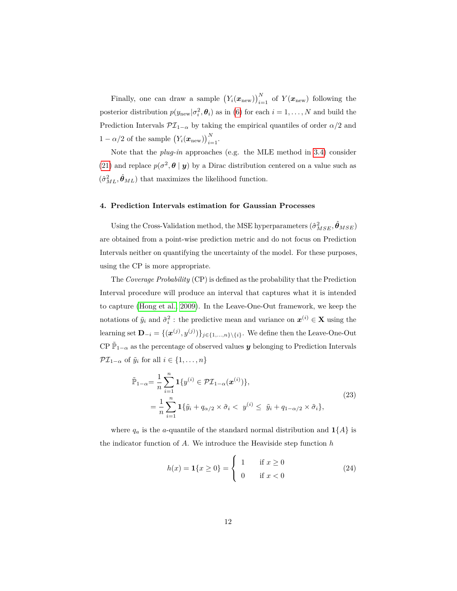Finally, one can draw a sample  $(Y_i(\mathbf{x}_{new}))_{i=1}^N$  of  $Y(\mathbf{x}_{new})$  following the posterior distribution  $p(y_{\text{new}}|\sigma_i^2, \theta_i)$  as in [\(6\)](#page-6-0) for each  $i = 1, ..., N$  and build the Prediction Intervals  $\mathcal{PI}_{1-\alpha}$  by taking the empirical quantiles of order  $\alpha/2$  and 1 –  $\alpha/2$  of the sample  $(Y_i(\boldsymbol{x}_{\text{new}}))_{i=1}^N$ .

Note that the *plug-in* approaches (e.g. the MLE method in [3.4\)](#page-8-0) consider [\(21\)](#page-10-0) and replace  $p(\sigma^2, \theta | y)$  by a Dirac distribution centered on a value such as  $(\hat{\sigma}_{ML}^2, \hat{\theta}_{ML})$  that maximizes the likelihood function.

# <span id="page-11-0"></span>**4. Prediction Intervals estimation for Gaussian Processes**

Using the Cross-Validation method, the MSE hyperparameters  $(\hat{\sigma}^2_{MSE}, \hat{\theta}_{MSE})$ are obtained from a point-wise prediction metric and do not focus on Prediction Intervals neither on quantifying the uncertainty of the model. For these purposes, using the CP is more appropriate.

The *Coverage Probability* (CP) is defined as the probability that the Prediction Interval procedure will produce an interval that captures what it is intended to capture [\(Hong et al., 2009\)](#page-36-7). In the Leave-One-Out framework, we keep the notations of  $\tilde{y}_i$  and  $\tilde{\sigma}_i^2$ : the predictive mean and variance on  $x^{(i)} \in \mathbf{X}$  using the learning set  $\mathbf{D}_{-i} = \{(\boldsymbol{x}^{(j)}, y^{(j)})\}_{j \in \{1, ..., n\} \setminus \{i\}}$ . We define then the Leave-One-Out CP  $\tilde{\mathbb{P}}_{1-\alpha}$  as the percentage of observed values *y* belonging to Prediction Intervals  $\mathcal{PI}_{1-\alpha}$  of  $\tilde{y}_i$  for all  $i \in \{1, \ldots, n\}$ 

$$
\tilde{\mathbb{P}}_{1-\alpha} = \frac{1}{n} \sum_{i=1}^{n} \mathbf{1} \{ y^{(i)} \in \mathcal{PI}_{1-\alpha}(\boldsymbol{x}^{(i)}) \},
$$
\n
$$
= \frac{1}{n} \sum_{i=1}^{n} \mathbf{1} \{ \tilde{y}_i + q_{\alpha/2} \times \tilde{\sigma}_i < y^{(i)} \leq \tilde{y}_i + q_{1-\alpha/2} \times \tilde{\sigma}_i \},
$$
\n(23)

where  $q_a$  is the *a*-quantile of the standard normal distribution and  $\mathbf{1}{A}$  is the indicator function of *A*. We introduce the Heaviside step function *h*

$$
h(x) = \mathbf{1}\{x \ge 0\} = \begin{cases} 1 & \text{if } x \ge 0 \\ 0 & \text{if } x < 0 \end{cases}
$$
 (24)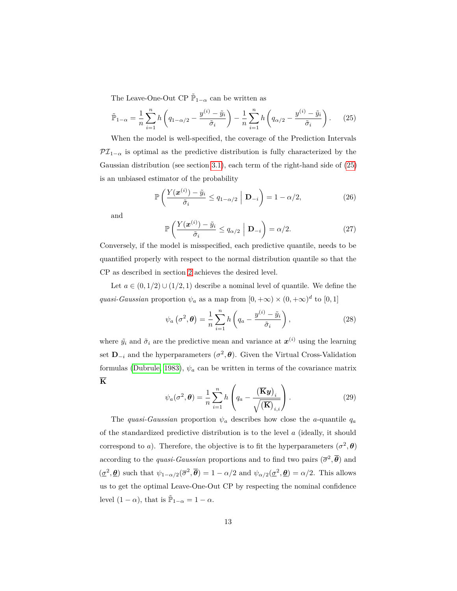The Leave-One-Out CP  $\tilde{\mathbb{P}}_{1-\alpha}$  can be written as

$$
\tilde{\mathbb{P}}_{1-\alpha} = \frac{1}{n} \sum_{i=1}^{n} h\left(q_{1-\alpha/2} - \frac{y^{(i)} - \tilde{y}_i}{\tilde{\sigma}_i}\right) - \frac{1}{n} \sum_{i=1}^{n} h\left(q_{\alpha/2} - \frac{y^{(i)} - \tilde{y}_i}{\tilde{\sigma}_i}\right). \tag{25}
$$

When the model is well-specified, the coverage of the Prediction Intervals  $\mathcal{PI}_{1-\alpha}$  is optimal as the predictive distribution is fully characterized by the Gaussian distribution (see section [3.1\)](#page-4-1), each term of the right-hand side of [\(25\)](#page-12-0) is an unbiased estimator of the probability

<span id="page-12-0"></span>
$$
\mathbb{P}\left(\frac{Y(\boldsymbol{x}^{(i)}) - \tilde{y}_i}{\tilde{\sigma}_i} \le q_{1-\alpha/2} \mid \mathbf{D}_{-i}\right) = 1 - \alpha/2,
$$
\n(26)

and

$$
\mathbb{P}\left(\frac{Y(\boldsymbol{x}^{(i)}) - \tilde{y}_i}{\tilde{\sigma}_i} \le q_{\alpha/2} \mid \mathbf{D}_{-i}\right) = \alpha/2.
$$
 (27)

Conversely, if the model is misspecified, each predictive quantile, needs to be quantified properly with respect to the normal distribution quantile so that the CP as described in section [2](#page-3-0) achieves the desired level.

Let  $a \in (0, 1/2) \cup (1/2, 1)$  describe a nominal level of quantile. We define the *quasi-Gaussian* proportion  $\psi_a$  as a map from  $[0, +\infty) \times (0, +\infty)^d$  to  $[0, 1]$ 

$$
\psi_a\left(\sigma^2,\boldsymbol{\theta}\right) = \frac{1}{n}\sum_{i=1}^n h\left(q_a - \frac{y^{(i)} - \tilde{y}_i}{\tilde{\sigma}_i}\right),\tag{28}
$$

where  $\tilde{y}_i$  and  $\tilde{\sigma}_i$  are the predictive mean and variance at  $x^{(i)}$  using the learning set  $\mathbf{D}_{-i}$  and the hyperparameters  $(\sigma^2, \theta)$ . Given the Virtual Cross-Validation formulas [\(Dubrule, 1983\)](#page-35-4),  $\psi_a$  can be written in terms of the covariance matrix **K**

$$
\psi_a(\sigma^2, \theta) = \frac{1}{n} \sum_{i=1}^n h\left(q_a - \frac{(\overline{\mathbf{K}}\mathbf{y})_i}{\sqrt{(\overline{\mathbf{K}})_{i,i}}}\right).
$$
 (29)

The *quasi-Gaussian* proportion  $\psi_a$  describes how close the *a*-quantile  $q_a$ of the standardized predictive distribution is to the level *a* (ideally, it should correspond to *a*). Therefore, the objective is to fit the hyperparameters  $(\sigma^2, \theta)$ according to the *quasi-Gaussian* proportions and to find two pairs  $(\bar{\sigma}^2, \bar{\theta})$  and  $(\underline{\sigma}^2, \underline{\theta})$  such that  $\psi_{1-\alpha/2}(\overline{\sigma}^2, \overline{\theta}) = 1 - \alpha/2$  and  $\psi_{\alpha/2}(\underline{\sigma}^2, \underline{\theta}) = \alpha/2$ . This allows us to get the optimal Leave-One-Out CP by respecting the nominal confidence level  $(1 - \alpha)$ , that is  $\tilde{\mathbb{P}}_{1-\alpha} = 1 - \alpha$ .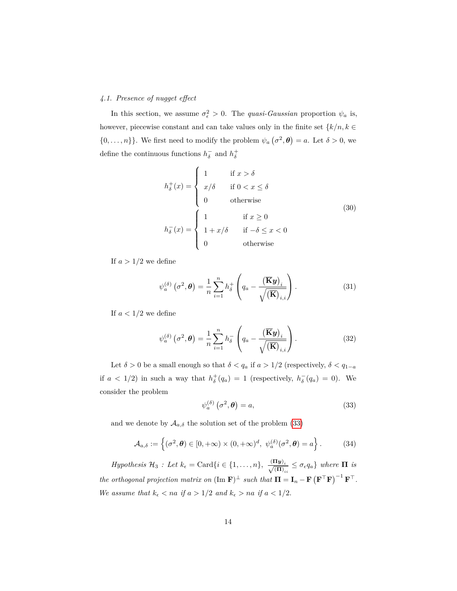# *4.1. Presence of nugget effect*

In this section, we assume  $\sigma_{\epsilon}^2 > 0$ . The *quasi-Gaussian* proportion  $\psi_a$  is, however, piecewise constant and can take values only in the finite set  $\{k/n, k \in \mathbb{R}\}$  $\{0, \ldots, n\}$ . We first need to modify the problem  $\psi_a(\sigma^2, \theta) = a$ . Let  $\delta > 0$ , we define the continuous functions  $h_{\delta}^-$  and  $h_{\delta}^+$ 

$$
h_{\delta}^{+}(x) = \begin{cases} 1 & \text{if } x > \delta \\ x/\delta & \text{if } 0 < x \le \delta \\ 0 & \text{otherwise} \end{cases}
$$
  
(30)  

$$
h_{\delta}^{-}(x) = \begin{cases} 1 & \text{if } x \ge 0 \\ 1 + x/\delta & \text{if } -\delta \le x < 0 \\ 0 & \text{otherwise} \end{cases}
$$

If  $a > 1/2$  we define

$$
\psi_a^{(\delta)}\left(\sigma^2,\boldsymbol{\theta}\right) = \frac{1}{n} \sum_{i=1}^n h_\delta^+ \left(q_a - \frac{\left(\overline{\mathbf{K}}\mathbf{y}\right)_i}{\sqrt{\left(\overline{\mathbf{K}}\right)_{i,i}}}\right).
$$
(31)

If  $a < 1/2$  we define

$$
\psi_a^{(\delta)}\left(\sigma^2,\boldsymbol{\theta}\right) = \frac{1}{n} \sum_{i=1}^n h_\delta^- \left(q_a - \frac{\left(\overline{\mathbf{K}}\mathbf{y}\right)_i}{\sqrt{\left(\overline{\mathbf{K}}\right)_{i,i}}}\right).
$$
\n(32)

Let  $\delta>0$  be a small enough so that  $\delta< q_a$  if  $a>1/2$  (respectively,  $\delta< q_{1-a}$ if  $a < 1/2$ ) in such a way that  $h_{\delta}^{+}(q_a) = 1$  (respectively,  $h_{\delta}^{-}(q_a) = 0$ ). We consider the problem

<span id="page-13-0"></span>
$$
\psi_a^{(\delta)}\left(\sigma^2, \boldsymbol{\theta}\right) = a,\tag{33}
$$

and we denote by  $A_{a,\delta}$  the solution set of the problem [\(33\)](#page-13-0)

$$
\mathcal{A}_{a,\delta} := \left\{ (\sigma^2, \boldsymbol{\theta}) \in [0, +\infty) \times (0, +\infty)^d, \ \psi_a^{(\delta)}(\sigma^2, \boldsymbol{\theta}) = a \right\}.
$$
 (34)

 $Hypothesis$   $H_3$  : Let  $k_{\epsilon} = \text{Card}\{i \in \{1, ..., n\}, \frac{(\Pi \boldsymbol{y})_i}{\sqrt{(\Pi)_{ii}}} \leq \sigma_{\epsilon} q_a\}$  where  $\Pi$  is *the orthogonal projection matrix on*  $(\text{Im } \mathbf{F})^{\perp}$  *such that*  $\mathbf{\Pi} = \mathbf{I}_n - \mathbf{F} (\mathbf{F}^{\top} \mathbf{F})^{-1} \mathbf{F}^{\top}$ . *We assume that*  $k_{\epsilon} < na$  *if*  $a > 1/2$  *and*  $k_{\epsilon} > na$  *if*  $a < 1/2$ .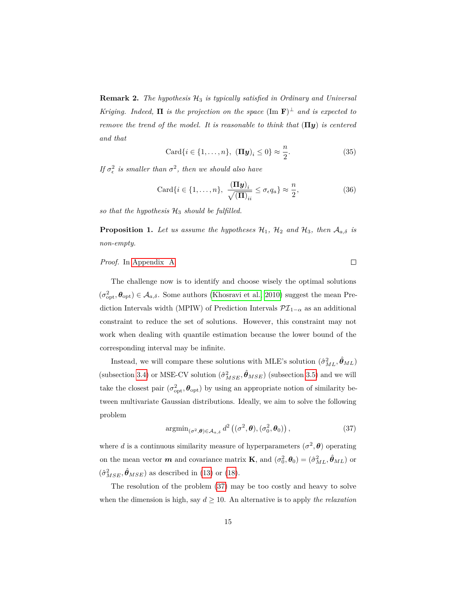**Remark 2.** *The hypothesis* H<sup>3</sup> *is typically satisfied in Ordinary and Universal Kriging.* Indeed,  $\Pi$  *is the projection on the space*  $(\text{Im } \mathbf{F})^{\perp}$  *and is expected to remove the trend of the model. It is reasonable to think that* (**Π***y*) *is centered and that*

$$
\operatorname{Card}\{i \in \{1, \ldots, n\}, \ (\Pi \mathbf{y})_i \le 0\} \approx \frac{n}{2}.\tag{35}
$$

*If*  $\sigma_{\epsilon}^2$  *is smaller than*  $\sigma^2$ *, then we should also have* 

$$
\operatorname{Card}\{i \in \{1, \ldots, n\}, \ \frac{(\Pi \mathbf{y})_i}{\sqrt{(\Pi)_{ii}}} \le \sigma_{\epsilon} q_a \} \approx \frac{n}{2},\tag{36}
$$

 $\Box$ 

so that the hypothesis  $H_3$  should be fulfilled.

<span id="page-14-1"></span>**Proposition 1.** *Let us assume the hypotheses*  $\mathcal{H}_1$ ,  $\mathcal{H}_2$  *and*  $\mathcal{H}_3$ *, then*  $\mathcal{A}_{a,\delta}$  *is non-empty.*

# *Proof.* In [Appendix A.](#page-41-1)

The challenge now is to identify and choose wisely the optimal solutions  $(\sigma_{\text{opt}}^2, \theta_{\text{opt}}) \in \mathcal{A}_{a,\delta}$ . Some authors [\(Khosravi et al., 2010\)](#page-36-4) suggest the mean Prediction Intervals width (MPIW) of Prediction Intervals  $\mathcal{PI}_{1-\alpha}$  as an additional constraint to reduce the set of solutions. However, this constraint may not work when dealing with quantile estimation because the lower bound of the corresponding interval may be infinite.

Instead, we will compare these solutions with MLE's solution  $(\hat{\sigma}_{ML}^2, \hat{\theta}_{ML})$ (subsection [3.4\)](#page-8-0) or MSE-CV solution  $(\hat{\sigma}_{MSE}^2, \hat{\theta}_{MSE})$  (subsection [3.5\)](#page-8-1) and we will take the closest pair  $(\sigma_{\rm opt}^2, \theta_{\rm opt})$  by using an appropriate notion of similarity between multivariate Gaussian distributions. Ideally, we aim to solve the following problem

<span id="page-14-0"></span>
$$
\operatorname{argmin}_{(\sigma^2, \boldsymbol{\theta}) \in \mathcal{A}_{a,\delta}} d^2 \left( (\sigma^2, \boldsymbol{\theta}), (\sigma_0^2, \boldsymbol{\theta}_0) \right), \tag{37}
$$

where *d* is a continuous similarity measure of hyperparameters  $(\sigma^2, \theta)$  operating on the mean vector  $m$  and covariance matrix **K**, and  $(\sigma_0^2, \theta_0) = (\hat{\sigma}_{ML}^2, \hat{\theta}_{ML})$  or  $(\hat{\sigma}_{MSE}^2, \hat{\theta}_{MSE})$  as described in [\(13\)](#page-8-2) or [\(18\)](#page-9-1).

The resolution of the problem [\(37\)](#page-14-0) may be too costly and heavy to solve when the dimension is high, say  $d \geq 10$ . An alternative is to apply *the relaxation*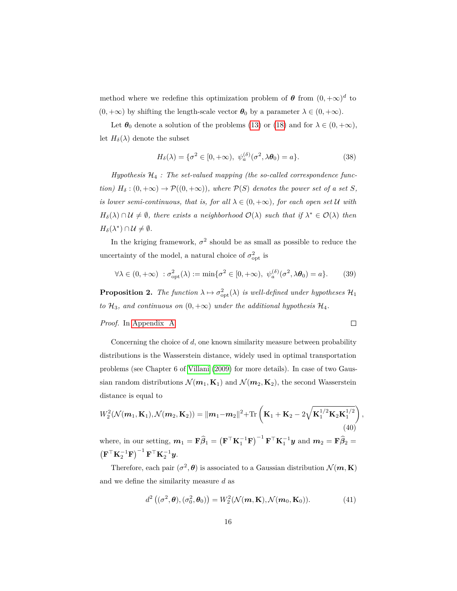method where we redefine this optimization problem of  $\theta$  from  $(0, +\infty)^d$  to  $(0, +\infty)$  by shifting the length-scale vector  $\theta_0$  by a parameter  $\lambda \in (0, +\infty)$ .

Let  $\theta_0$  denote a solution of the problems [\(13\)](#page-8-2) or [\(18\)](#page-9-1) and for  $\lambda \in (0, +\infty)$ , let  $H_\delta(\lambda)$  denote the subset

$$
H_{\delta}(\lambda) = \{\sigma^2 \in [0, +\infty), \ \psi_a^{(\delta)}(\sigma^2, \lambda \theta_0) = a\}.
$$
 (38)

*Hypothesis* H<sup>4</sup> *: The set-valued mapping (the so-called correspondence function)*  $H_{\delta}: (0, +\infty) \to \mathcal{P}((0, +\infty))$ *, where*  $\mathcal{P}(S)$  *denotes the power set of a set S, is lower semi-continuous, that is, for all*  $\lambda \in (0, +\infty)$ *, for each open set* U *with*  $H_{\delta}(\lambda) \cap \mathcal{U} \neq \emptyset$ , there exists a neighborhood  $\mathcal{O}(\lambda)$  such that if  $\lambda^* \in \mathcal{O}(\lambda)$  then  $H_{\delta}(\lambda^*) \cap \mathcal{U} \neq \emptyset$ .

In the kriging framework,  $\sigma^2$  should be as small as possible to reduce the uncertainty of the model, a natural choice of  $\sigma_{\rm opt}^2$  is

$$
\forall \lambda \in (0, +\infty) \; : \sigma_{\text{opt}}^2(\lambda) := \min \{ \sigma^2 \in [0, +\infty), \; \psi_a^{(\delta)}(\sigma^2, \lambda \theta_0) = a \}. \tag{39}
$$

<span id="page-15-0"></span>**Proposition 2.** *The function*  $\lambda \mapsto \sigma_{\text{opt}}^2(\lambda)$  *is well-defined under hypotheses*  $\mathcal{H}_1$ *to*  $\mathcal{H}_3$ *, and continuous on*  $(0, +\infty)$  *under the additional hypothesis*  $\mathcal{H}_4$ *.* 

*Proof.* In [Appendix A.](#page-41-1)

 $\Box$ 

*,*

Concerning the choice of *d*, one known similarity measure between probability distributions is the Wasserstein distance, widely used in optimal transportation problems (see Chapter 6 of [Villani](#page-40-6) [\(2009\)](#page-40-6) for more details). In case of two Gaussian random distributions  $\mathcal{N}(m_1, \mathbf{K}_1)$  and  $\mathcal{N}(m_2, \mathbf{K}_2)$ , the second Wasserstein distance is equal to

$$
W_2^2(\mathcal{N}(m_1, \mathbf{K}_1), \mathcal{N}(m_2, \mathbf{K}_2)) = ||m_1 - m_2||^2 + \text{Tr}\left(\mathbf{K}_1 + \mathbf{K}_2 - 2\sqrt{\mathbf{K}_1^{1/2}\mathbf{K}_2\mathbf{K}_1^{1/2}}\right)
$$
\n(40)

where, in our setting,  $m_1 = \mathbf{F}\widehat{\beta}_1 = \left(\mathbf{F}^\top \mathbf{K}_1^{-1} \mathbf{F}\right)^{-1} \mathbf{F}^\top \mathbf{K}_1^{-1} \mathbf{y}$  and  $m_2 = \mathbf{F}\widehat{\beta}_2 =$  $\left(\mathbf{F}^{\top}\mathbf{K}_2^{-1}\mathbf{F}\right)^{-1}\mathbf{F}^{\top}\mathbf{K}_2^{-1}\boldsymbol{y}.$ 

Therefore, each pair  $(\sigma^2, \theta)$  is associated to a Gaussian distribution  $\mathcal{N}(m, \mathbf{K})$ and we define the similarity measure *d* as

$$
d^{2} \left( (\sigma^{2}, \boldsymbol{\theta}), (\sigma_{0}^{2}, \boldsymbol{\theta}_{0}) \right) = W_{2}^{2} (\mathcal{N}(\boldsymbol{m}, \mathbf{K}), \mathcal{N}(\boldsymbol{m}_{0}, \mathbf{K}_{0})).
$$
\n(41)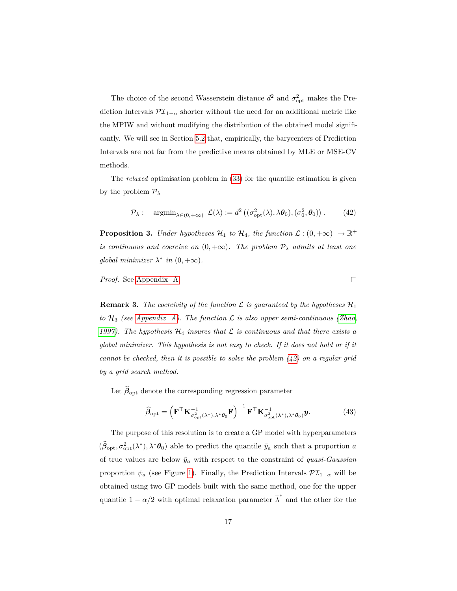The choice of the second Wasserstein distance  $d^2$  and  $\sigma_{\rm opt}^2$  makes the Prediction Intervals $\mathcal{PI}_{1-\alpha}$  shorter without the need for an additional metric like the MPIW and without modifying the distribution of the obtained model significantly. We will see in Section [5.2](#page-28-0) that, empirically, the barycenters of Prediction Intervals are not far from the predictive means obtained by MLE or MSE-CV methods.

The *relaxed* optimisation problem in [\(33\)](#page-13-0) for the quantile estimation is given by the problem P*<sup>λ</sup>*

<span id="page-16-0"></span>
$$
\mathcal{P}_{\lambda}: \quad \operatorname{argmin}_{\lambda \in (0, +\infty)} \mathcal{L}(\lambda) := d^2 \left( (\sigma_{\text{opt}}^2(\lambda), \lambda \boldsymbol{\theta}_0), (\sigma_0^2, \boldsymbol{\theta}_0) \right). \tag{42}
$$

 $\Box$ 

<span id="page-16-1"></span>**Proposition 3.** *Under hypotheses*  $\mathcal{H}_1$  *to*  $\mathcal{H}_4$ *, the function*  $\mathcal{L} : (0, +\infty) \to \mathbb{R}^+$ *is continuous and coercive on*  $(0, +\infty)$ *. The problem*  $\mathcal{P}_{\lambda}$  *admits at least one global minimizer*  $\lambda^*$  *in*  $(0, +\infty)$ *.* 

*Proof.* See [Appendix A.](#page-41-1)

**Remark 3.** The coercivity of the function  $\mathcal{L}$  is guaranteed by the hypotheses  $\mathcal{H}_1$ *to*  $H_3$  *(see [Appendix A\)](#page-41-1). The function*  $\mathcal L$  *is also upper semi-continuous [\(Zhao,](#page-40-7) 1997*). The hypothesis  $H_4$  insures that  $\mathcal L$  is continuous and that there exists a *global minimizer. This hypothesis is not easy to check. If it does not hold or if it cannot be checked, then it is possible to solve the problem [\(42\)](#page-16-0) on a regular grid by a grid search method.*

Let  $\hat{\beta}_{\text{opt}}$  denote the corresponding regression parameter

$$
\widehat{\boldsymbol{\beta}}_{\rm opt} = \left(\mathbf{F}^\top \mathbf{K}_{\sigma_{\rm opt}^2(\lambda^*), \lambda^* \boldsymbol{\theta}_0}^{-1} \mathbf{F}^\top \mathbf{K}_{\sigma_{\rm opt}^2(\lambda^*), \lambda^* \boldsymbol{\theta}_0}^{-1} \mathbf{y}.\tag{43}
$$

The purpose of this resolution is to create a GP model with hyperparameters  $(\hat{\beta}_{opt}, \sigma_{opt}^2(\lambda^*), \lambda^* \theta_0)$  able to predict the quantile  $\tilde{y}_a$  such that a proportion *a* of true values are below  $\tilde{y}_a$  with respect to the constraint of *quasi-Gaussian* proportion  $\psi_a$  (see Figure [1\)](#page-17-0). Finally, the Prediction Intervals  $\mathcal{PI}_{1-\alpha}$  will be obtained using two GP models built with the same method, one for the upper quantile  $1 - \alpha/2$  with optimal relaxation parameter  $\overline{\lambda}^*$  and the other for the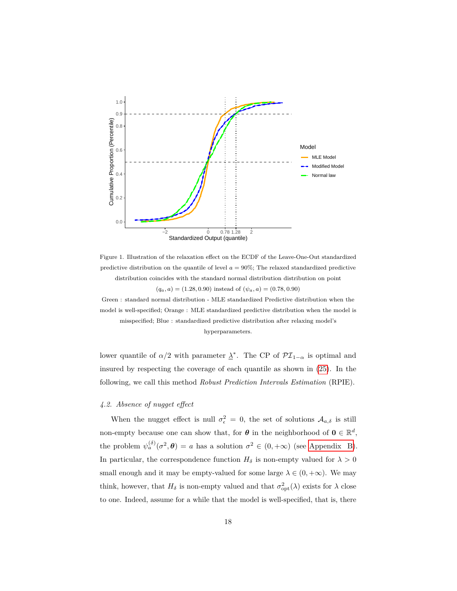<span id="page-17-0"></span>

Figure 1. Illustration of the relaxation effect on the ECDF of the Leave-One-Out standardized predictive distribution on the quantile of level  $a = 90\%$ ; The relaxed standardized predictive distribution coincides with the standard normal distribution distribution on point  $(q_a, a) = (1.28, 0.90)$  instead of  $(\psi_a, a) = (0.78, 0.90)$ 

Green : standard normal distribution - MLE standardized Predictive distribution when the model is well-specified; Orange : MLE standardized predictive distribution when the model is misspecified; Blue : standardized predictive distribution after relaxing model's

hyperparameters.

lower quantile of  $\alpha/2$  with parameter  $\lambda^*$ . The CP of  $\mathcal{PI}_{1-\alpha}$  is optimal and insured by respecting the coverage of each quantile as shown in [\(25\)](#page-12-0). In the following, we call this method *Robust Prediction Intervals Estimation* (RPIE).

# *4.2. Absence of nugget effect*

When the nugget effect is null  $\sigma_{\epsilon}^2 = 0$ , the set of solutions  $A_{a,\delta}$  is still non-empty because one can show that, for  $\theta$  in the neighborhood of  $0 \in \mathbb{R}^d$ , the problem  $\psi_a^{(\delta)}(\sigma^2, \theta) = a$  has a solution  $\sigma^2 \in (0, +\infty)$  (see [Appendix B\)](#page-46-0). In particular, the correspondence function  $H_{\delta}$  is non-empty valued for  $\lambda > 0$ small enough and it may be empty-valued for some large  $\lambda \in (0, +\infty)$ . We may think, however, that  $H_{\delta}$  is non-empty valued and that  $\sigma_{\text{opt}}^2(\lambda)$  exists for  $\lambda$  close to one. Indeed, assume for a while that the model is well-specified, that is, there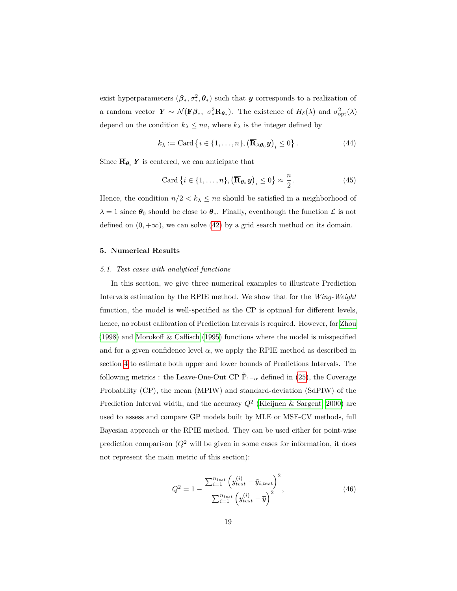exist hyperparameters  $(\beta_*, \sigma_*^2, \theta_*)$  such that *y* corresponds to a realization of a random vector  $Y \sim \mathcal{N}(\mathbf{F}\beta_*, \sigma_*^2 \mathbf{R}_{\theta_*})$ . The existence of  $H_\delta(\lambda)$  and  $\sigma_{\text{opt}}^2(\lambda)$ depend on the condition  $k_{\lambda} \le na$ , where  $k_{\lambda}$  is the integer defined by

$$
k_{\lambda} := \text{Card}\left\{i \in \{1, \ldots, n\}, \left(\overline{\mathbf{R}}_{\lambda \theta_0} \mathbf{y}\right)_i \le 0\right\}.
$$
 (44)

Since  $\overline{\mathbf{R}}_{\theta_*}$  Y is centered, we can anticipate that

$$
\text{Card}\left\{i \in \{1, \ldots, n\}, \left(\overline{\mathbf{R}}_{\boldsymbol{\theta}_*} \boldsymbol{y}\right)_i \le 0\right\} \approx \frac{n}{2}.\tag{45}
$$

Hence, the condition  $n/2 < k_{\lambda} \leq na$  should be satisfied in a neighborhood of  $\lambda = 1$  since  $\theta_0$  should be close to  $\theta_*$ . Finally, eventhough the function  $\mathcal L$  is not defined on  $(0, +\infty)$ , we can solve  $(42)$  by a grid search method on its domain.

# <span id="page-18-0"></span>**5. Numerical Results**

#### *5.1. Test cases with analytical functions*

In this section, we give three numerical examples to illustrate Prediction Intervals estimation by the RPIE method. We show that for the *Wing-Weight* function, the model is well-specified as the CP is optimal for different levels, hence, no robust calibration of Prediction Intervals is required. However, for [Zhou](#page-40-8) [\(1998\)](#page-40-8) and [Morokoff & Caflisch](#page-37-7) [\(1995\)](#page-37-7) functions where the model is misspecified and for a given confidence level  $\alpha$ , we apply the RPIE method as described in section [4](#page-11-0) to estimate both upper and lower bounds of Predictions Intervals. The following metrics : the Leave-One-Out CP  $\tilde{\mathbb{P}}_{1-\alpha}$  defined in [\(25\)](#page-12-0), the Coverage Probability (CP), the mean (MPIW) and standard-deviation (SdPIW) of the Prediction Interval width, and the accuracy *Q*<sup>2</sup> [\(Kleijnen & Sargent, 2000\)](#page-36-8) are used to assess and compare GP models built by MLE or MSE-CV methods, full Bayesian approach or the RPIE method. They can be used either for point-wise prediction comparison  $(Q^2$  will be given in some cases for information, it does not represent the main metric of this section):

$$
Q^{2} = 1 - \frac{\sum_{i=1}^{n_{test}} \left( y_{test}^{(i)} - \tilde{y}_{i, test} \right)^{2}}{\sum_{i=1}^{n_{test}} \left( y_{test}^{(i)} - \overline{y} \right)^{2}},
$$
\n(46)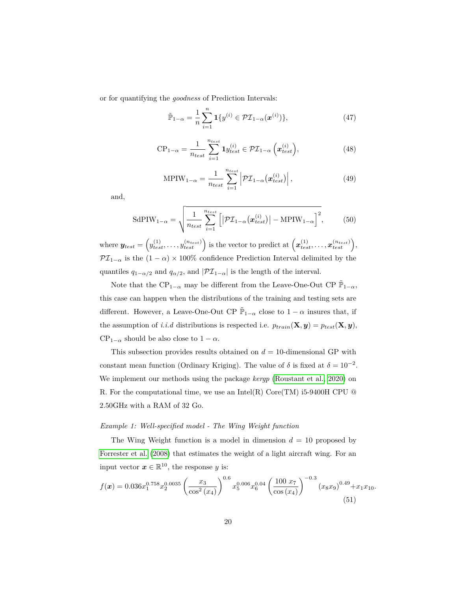or for quantifying the *goodness* of Prediction Intervals:

$$
\tilde{\mathbb{P}}_{1-\alpha} = \frac{1}{n} \sum_{i=1}^{n} \mathbf{1} \{ y^{(i)} \in \mathcal{PI}_{1-\alpha}(\boldsymbol{x}^{(i)}) \},\tag{47}
$$

$$
CP_{1-\alpha} = \frac{1}{n_{test}} \sum_{i=1}^{n_{test}} \mathbf{1} y_{test}^{(i)} \in \mathcal{PI}_{1-\alpha} \left( \boldsymbol{x}_{test}^{(i)} \right), \tag{48}
$$

$$
\text{MPIW}_{1-\alpha} = \frac{1}{n_{test}} \sum_{i=1}^{n_{test}} \left| \mathcal{PI}_{1-\alpha}(\boldsymbol{x}_{test}^{(i)}) \right|,\tag{49}
$$

and,

$$
\text{SdPIW}_{1-\alpha} = \sqrt{\frac{1}{n_{test}} \sum_{i=1}^{n_{test}} \left[ \left| \mathcal{PI}_{1-\alpha}(\boldsymbol{x}_{test}^{(i)}) \right| - \text{MPIW}_{1-\alpha} \right]^2},\tag{50}
$$

 $\text{where } \mathbf{y}_{test} = \left(y_{test}^{(1)}, \ldots, y_{test}^{(n_{test})}\right) \text{ is the vector to predict at } \left(x_{test}^{(1)}, \ldots, x_{test}^{(n_{test})}\right),$  $\mathcal{PI}_{1-\alpha}$  is the  $(1-\alpha) \times 100\%$  confidence Prediction Interval delimited by the quantiles  $q_{1-\alpha/2}$  and  $q_{\alpha/2}$ , and  $|\mathcal{PI}_{1-\alpha}|$  is the length of the interval.

Note that the CP<sub>1− $\alpha$ </sub> may be different from the Leave-One-Out CP  $\tilde{\mathbb{P}}_{1-\alpha}$ , this case can happen when the distributions of the training and testing sets are different. However, a Leave-One-Out CP  $\tilde{\mathbb{P}}_{1-\alpha}$  close to  $1-\alpha$  insures that, if the assumption of *i.i.d* distributions is respected i.e.  $p_{train}(\mathbf{X}, y) = p_{test}(\mathbf{X}, y)$ ,  $CP_{1-\alpha}$  should be also close to  $1-\alpha$ .

This subsection provides results obtained on  $d = 10$ -dimensional GP with constant mean function (Ordinary Kriging). The value of  $\delta$  is fixed at  $\delta = 10^{-2}$ . We implement our methods using the package *kergp* [\(Roustant et al., 2020\)](#page-39-4) on R. For the computational time, we use an Intel(R) Core(TM) i5-9400H CPU  $@$ 2.50GHz with a RAM of 32 Go.

# *Example 1: Well-specified model - The Wing Weight function*

The Wing Weight function is a model in dimension  $d = 10$  proposed by [Forrester et al.](#page-35-5) [\(2008\)](#page-35-5) that estimates the weight of a light aircraft wing. For an input vector  $x \in \mathbb{R}^{10}$ , the response *y* is:

<span id="page-19-0"></span>
$$
f(\boldsymbol{x}) = 0.036x_1^{0.758}x_2^{0.0035} \left(\frac{x_3}{\cos^2(x_4)}\right)^{0.6} x_5^{0.006}x_6^{0.04} \left(\frac{100 x_7}{\cos(x_4)}\right)^{-0.3} (x_8x_9)^{0.49} + x_1x_{10}.
$$
\n(51)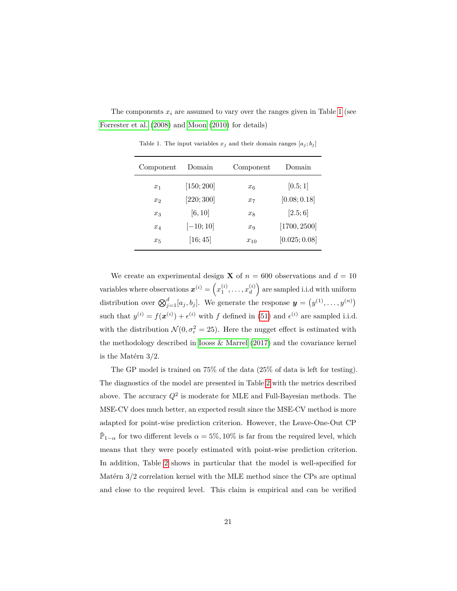<span id="page-20-0"></span>The components  $x_i$  are assumed to vary over the ranges given in Table [1](#page-20-0) (see [Forrester et al.](#page-35-5) [\(2008\)](#page-35-5) and [Moon](#page-37-8) [\(2010\)](#page-37-8) for details)

| Component      | Domain     | Component | Domain        |
|----------------|------------|-----------|---------------|
| $x_1$          | [150; 200] | $x_{6}$   | [0.5; 1]      |
| x <sub>2</sub> | [220; 300] | $x_7$     | [0.08; 0.18]  |
| $x_3$          | [6, 10]    | $x_8$     | [2.5;6]       |
| $x_4$          | $[-10;10]$ | $x_9$     | [1700, 2500]  |
| $x_{5}$        | [16; 45]   | $x_{10}$  | [0.025; 0.08] |

Table 1. The input variables  $x_j$  and their domain ranges  $[a_j; b_j]$ 

We create an experimental design **X** of  $n = 600$  observations and  $d = 10$  $\text{variables where observations } \boldsymbol{x}^{(i)} = \left(x_1^{(i)}, \ldots, x_d^{(i)}\right)$  $\binom{i}{d}$  are sampled i.i.d with uniform distribution over  $\bigotimes_{j=1}^{d} [a_j, b_j]$ . We generate the response  $y = (y^{(1)}, \ldots, y^{(n)})$ such that  $y^{(i)} = f(x^{(i)}) + \epsilon^{(i)}$  with f defined in [\(51\)](#page-19-0) and  $\epsilon^{(i)}$  are sampled i.i.d. with the distribution  $\mathcal{N}(0, \sigma_{\epsilon}^2 = 25)$ . Here the nugget effect is estimated with the methodology described in [Iooss & Marrel](#page-36-5) [\(2017\)](#page-36-5) and the covariance kernel is the Matérn 3/2.

The GP model is trained on 75% of the data (25% of data is left for testing). The diagnostics of the model are presented in Table [2](#page-21-0) with the metrics described above. The accuracy  $Q^2$  is moderate for MLE and Full-Bayesian methods. The MSE-CV does much better, an expected result since the MSE-CV method is more adapted for point-wise prediction criterion. However, the Leave-One-Out CP  $\tilde{\mathbb{P}}_{1-\alpha}$  for two different levels  $\alpha = 5\%$ , 10% is far from the required level, which means that they were poorly estimated with point-wise prediction criterion. In addition, Table [2](#page-21-0) shows in particular that the model is well-specified for Matérn 3/2 correlation kernel with the MLE method since the CPs are optimal and close to the required level. This claim is empirical and can be verified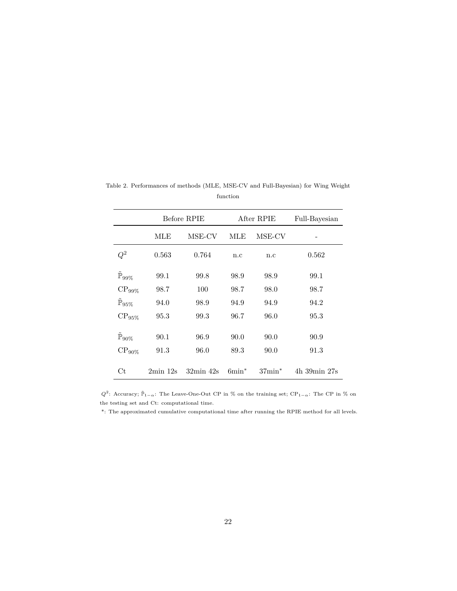|                             | Before RPIE |                    | After RPIE |                  | Full-Bayesian |
|-----------------------------|-------------|--------------------|------------|------------------|---------------|
|                             | MLE         | MSE-CV             | MLE        | MSE-CV           |               |
| ${\cal Q}^2$                | 0.563       | 0.764              | n.c        | n.c              | 0.562         |
| $\tilde{\mathbb{P}}_{99\%}$ | 99.1        | 99.8               | 98.9       | 98.9             | 99.1          |
| $CP_{99\%}$                 | 98.7        | 100                | 98.7       | 98.0             | 98.7          |
| $\tilde{\mathbb{P}}_{95\%}$ | 94.0        | 98.9               | 94.9       | 94.9             | 94.2          |
| $CP_{95\%}$                 | 95.3        | 99.3               | 96.7       | 96.0             | 95.3          |
| $\tilde{\mathbb{P}}_{90\%}$ | 90.1        | 96.9               | 90.0       | 90.0             | 90.9          |
| $CP_{90\%}$                 | 91.3        | 96.0               | 89.3       | 90.0             | 91.3          |
| Сt                          | $2min$ 12s  | $32\text{min}$ 42s | $6min^*$   | $37\text{min}^*$ | 4h 39min 27s  |

<span id="page-21-0"></span>Table 2. Performances of methods (MLE, MSE-CV and Full-Bayesian) for Wing Weight function

 $Q^2$ : Accuracy;  $\mathbb{P}_{1-\alpha}$ : The Leave-One-Out CP in % on the training set; CP<sub>1- $\alpha$ </sub>: The CP in % on the testing set and Ct: computational time.

\*: The approximated cumulative computational time after running the RPIE method for all levels.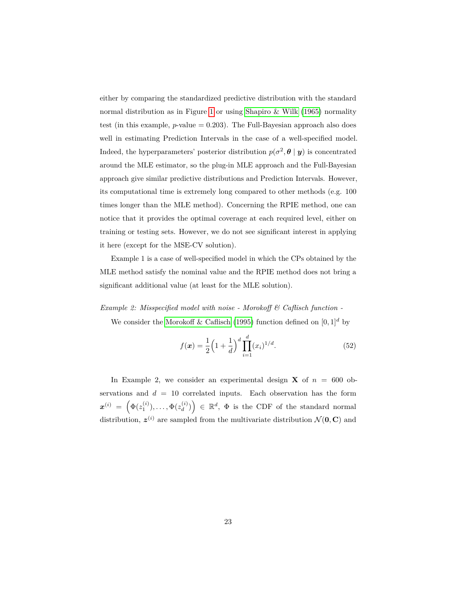either by comparing the standardized predictive distribution with the standard normal distribution as in Figure [1](#page-17-0) or using [Shapiro & Wilk](#page-39-5) [\(1965\)](#page-39-5) normality test (in this example, *p*-value = 0*.*203). The Full-Bayesian approach also does well in estimating Prediction Intervals in the case of a well-specified model. Indeed, the hyperparameters' posterior distribution  $p(\sigma^2, \theta | y)$  is concentrated around the MLE estimator, so the plug-in MLE approach and the Full-Bayesian approach give similar predictive distributions and Prediction Intervals. However, its computational time is extremely long compared to other methods (e.g. 100 times longer than the MLE method). Concerning the RPIE method, one can notice that it provides the optimal coverage at each required level, either on training or testing sets. However, we do not see significant interest in applying it here (except for the MSE-CV solution).

Example 1 is a case of well-specified model in which the CPs obtained by the MLE method satisfy the nominal value and the RPIE method does not bring a significant additional value (at least for the MLE solution).

# *Example 2: Misspecified model with noise - Morokoff & Caflisch function -*

We consider the [Morokoff & Caflisch](#page-37-7) [\(1995\)](#page-37-7) function defined on  $[0,1]^d$  by

<span id="page-22-0"></span>
$$
f(\boldsymbol{x}) = \frac{1}{2} \left( 1 + \frac{1}{d} \right)^d \prod_{i=1}^d (x_i)^{1/d}.
$$
 (52)

In Example 2, we consider an experimental design **X** of  $n = 600$  observations and  $d = 10$  correlated inputs. Each observation has the form  $\bm{x}^{(i)}\ =\ \Big(\Phi(z_1^{(i)}),\ldots,\Phi(z_d^{(i)})$  $\begin{pmatrix} (i) \\ d \end{pmatrix}$   $\in \mathbb{R}^d$ ,  $\Phi$  is the CDF of the standard normal distribution,  $z^{(i)}$  are sampled from the multivariate distribution  $\mathcal{N}(\mathbf{0}, \mathbf{C})$  and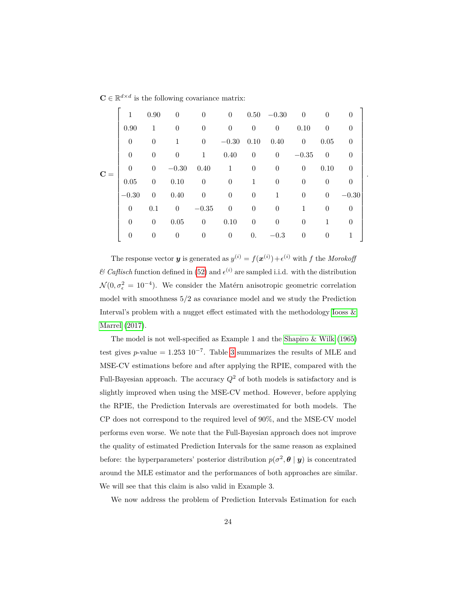$\mathbf{C} \in \mathbb{R}^{d \times d}$  is the following covariance matrix:

|       | 1              | 0.90             | $\theta$ | $\theta$         | $\theta$         |                | $0.50 - 0.30$    | $\theta$ | $\Omega$ | $\theta$       |  |
|-------|----------------|------------------|----------|------------------|------------------|----------------|------------------|----------|----------|----------------|--|
|       | 0.90           | 1                | $\theta$ | $\theta$         | $\boldsymbol{0}$ | $\theta$       | $\boldsymbol{0}$ | 0.10     | $\theta$ | $\theta$       |  |
|       | $\theta$       | $\theta$         | 1        | $\theta$         | $-0.30$          | 0.10           | 0.40             | $\theta$ | 0.05     | $\overline{0}$ |  |
|       | $\theta$       | $\boldsymbol{0}$ | $\theta$ | 1                | 0.40             | $\theta$       | $\boldsymbol{0}$ | $-0.35$  | $\theta$ | $\theta$       |  |
| $C =$ | $\overline{0}$ | $\theta$         | $-0.30$  | 0.40             | $\mathbf{1}$     | $\theta$       | $\theta$         | $\theta$ | 0.10     | $\theta$       |  |
|       | 0.05           | $\theta$         | 0.10     | $\theta$         | $\boldsymbol{0}$ | $\mathbf{1}$   | $\theta$         | $\theta$ | $\theta$ | $\theta$       |  |
|       | $-0.30$        | $\theta$         | 0.40     | $\boldsymbol{0}$ | $\boldsymbol{0}$ | $\overline{0}$ | 1                | $\theta$ | $\theta$ | $-0.30$        |  |
|       | $\theta$       | 0.1              | $\theta$ | $-0.35$          | $\boldsymbol{0}$ | $\theta$       | $\theta$         | 1        | $\Omega$ | $\theta$       |  |
|       | $\overline{0}$ | $\overline{0}$   | 0.05     | $\overline{0}$   | 0.10             | $\overline{0}$ | $\overline{0}$   | $\theta$ | 1        | $\theta$       |  |
|       | $\theta$       | $\theta$         | $\theta$ | $\theta$         | $\boldsymbol{0}$ | 0.             | $-0.3$           | $\theta$ | $\theta$ | 1              |  |

The response vector *y* is generated as  $y^{(i)} = f(x^{(i)}) + \epsilon^{(i)}$  with *f* the *Morokoff*  $\mathscr$ *Caflisch* function defined in [\(52\)](#page-22-0) and  $\epsilon^{(i)}$  are sampled i.i.d. with the distribution  $\mathcal{N}(0, \sigma_{\epsilon}^2 = 10^{-4})$ . We consider the Matérn anisotropic geometric correlation model with smoothness 5/2 as covariance model and we study the Prediction Interval's problem with a nugget effect estimated with the methodology [Iooss &](#page-36-5) [Marrel](#page-36-5) [\(2017\)](#page-36-5).

The model is not well-specified as Example 1 and the [Shapiro & Wilk](#page-39-5) [\(1965\)](#page-39-5) test gives *p*-value =  $1.253 \times 10^{-7}$ . Table [3](#page-24-0) summarizes the results of MLE and MSE-CV estimations before and after applying the RPIE, compared with the Full-Bayesian approach. The accuracy  $Q^2$  of both models is satisfactory and is slightly improved when using the MSE-CV method. However, before applying the RPIE, the Prediction Intervals are overestimated for both models. The CP does not correspond to the required level of 90%, and the MSE-CV model performs even worse. We note that the Full-Bayesian approach does not improve the quality of estimated Prediction Intervals for the same reason as explained before: the hyperparameters' posterior distribution  $p(\sigma^2, \theta | y)$  is concentrated around the MLE estimator and the performances of both approaches are similar. We will see that this claim is also valid in Example 3.

We now address the problem of Prediction Intervals Estimation for each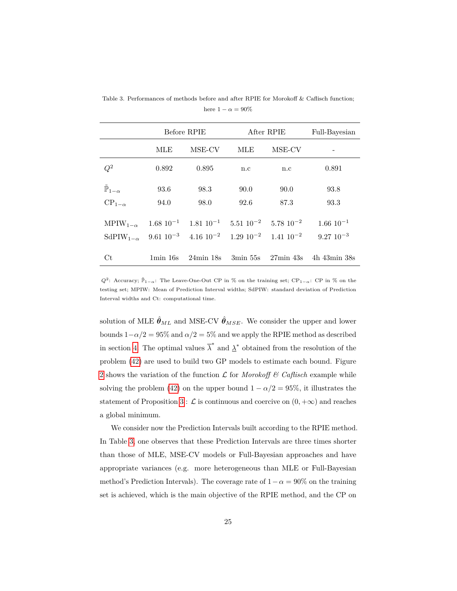|                                 |       | Before RPIE                                                                                                                    | After RPIE | Full-Bayesian |                                 |
|---------------------------------|-------|--------------------------------------------------------------------------------------------------------------------------------|------------|---------------|---------------------------------|
|                                 | MLE   | MSE-CV                                                                                                                         | MLE        | MSE-CV        |                                 |
| $Q^2$                           | 0.892 | 0.895                                                                                                                          | n.c        | n.c           | 0.891                           |
| $\tilde{\mathbb{P}}_{1-\alpha}$ | 93.6  | 98.3                                                                                                                           | 90.0       | 90.0          | 93.8                            |
| $CP_{1-\alpha}$                 | 94.0  | 98.0                                                                                                                           | 92.6       | 87.3          | 93.3                            |
|                                 |       | MPIW <sub>1-<math>\alpha</math></sub> 1.68 10 <sup>-1</sup> 1.81 10 <sup>-1</sup> 5.51 10 <sup>-2</sup> 5.78 10 <sup>-2</sup>  |            |               | $1.66 \; 10^{-1}$               |
|                                 |       | SdPIW <sub>1-<math>\alpha</math></sub> 9.61 10 <sup>-3</sup> 4.16 10 <sup>-2</sup> 1.29 10 <sup>-2</sup> 1.41 10 <sup>-2</sup> |            |               | $9.27~10^{-3}$                  |
| Ct                              |       | 1 min 16s 24 min 18s                                                                                                           |            |               | 3min 55s 27min 43s 4h 43min 38s |

<span id="page-24-0"></span>Table 3. Performances of methods before and after RPIE for Morokoff & Caflisch function; here  $1 - \alpha = 90\%$ 

 $Q^2$ : Accuracy;  $\tilde{\mathbb{P}}_{1-\alpha}$ : The Leave-One-Out CP in % on the training set; CP<sub>1</sub>–*α*: CP in % on the testing set; MPIW: Mean of Prediction Interval widths; SdPIW: standard deviation of Prediction Interval widths and Ct: computational time.

solution of MLE  $\hat{\theta}_{ML}$  and MSE-CV  $\hat{\theta}_{MSE}$ . We consider the upper and lower bounds  $1-\alpha/2 = 95\%$  and  $\alpha/2 = 5\%$  and we apply the RPIE method as described in section [4.](#page-11-0) The optimal values  $\overline{\lambda}^*$  and  $\underline{\lambda}^*$  obtained from the resolution of the problem [\(42\)](#page-16-0) are used to build two GP models to estimate each bound. Figure [2](#page-25-0) shows the variation of the function  $\mathcal L$  for *Morokoff*  $\mathcal C$  *Caflisch* example while solving the problem [\(42\)](#page-16-0) on the upper bound  $1 - \alpha/2 = 95\%$ , it illustrates the statement of Proposition [3](#page-16-1) :  $\mathcal L$  is continuous and coercive on  $(0, +\infty)$  and reaches a global minimum.

We consider now the Prediction Intervals built according to the RPIE method. In Table [3,](#page-24-0) one observes that these Prediction Intervals are three times shorter than those of MLE, MSE-CV models or Full-Bayesian approaches and have appropriate variances (e.g. more heterogeneous than MLE or Full-Bayesian method's Prediction Intervals). The coverage rate of  $1-\alpha = 90\%$  on the training set is achieved, which is the main objective of the RPIE method, and the CP on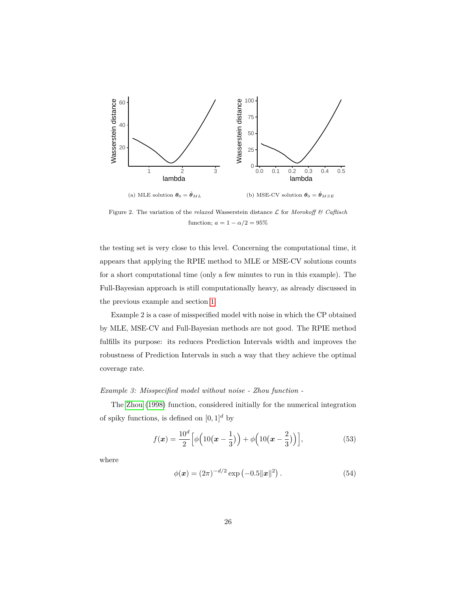<span id="page-25-0"></span>

Figure 2. The variation of the *relaxed* Wasserstein distance L for *Morokoff & Caflisch* function;  $a = 1 - \alpha/2 = 95\%$ 

the testing set is very close to this level. Concerning the computational time, it appears that applying the RPIE method to MLE or MSE-CV solutions counts for a short computational time (only a few minutes to run in this example). The Full-Bayesian approach is still computationally heavy, as already discussed in the previous example and section [1.](#page-1-0)

Example 2 is a case of misspecified model with noise in which the CP obtained by MLE, MSE-CV and Full-Bayesian methods are not good. The RPIE method fulfills its purpose: its reduces Prediction Intervals width and improves the robustness of Prediction Intervals in such a way that they achieve the optimal coverage rate.

# *Example 3: Misspecified model without noise - Zhou function -*

The [Zhou](#page-40-8) [\(1998\)](#page-40-8) function, considered initially for the numerical integration of spiky functions, is defined on  $[0, 1]^d$  by

<span id="page-25-1"></span>
$$
f(\mathbf{x}) = \frac{10^d}{2} \left[ \phi \left( 10 \left( \mathbf{x} - \frac{1}{3} \right) \right) + \phi \left( 10 \left( \mathbf{x} - \frac{2}{3} \right) \right) \right],\tag{53}
$$

where

$$
\phi(\mathbf{x}) = (2\pi)^{-d/2} \exp(-0.5\|\mathbf{x}\|^2). \tag{54}
$$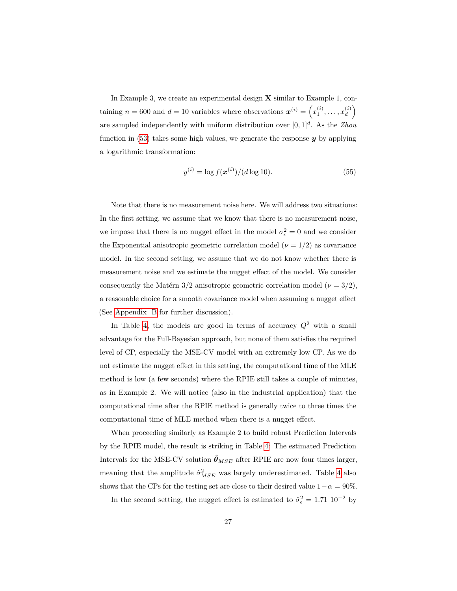In Example 3, we create an experimental design **X** similar to Example 1, containing  $n = 600$  and  $d = 10$  variables where observations  $\mathbf{x}^{(i)} = \left(x_1^{(i)}, \ldots, x_d^{(i)}\right)$  $\binom{i}{d}$ are sampled independently with uniform distribution over [0*,* 1]*<sup>d</sup>* . As the *Zhou* function in [\(53\)](#page-25-1) takes some high values, we generate the response *y* by applying a logarithmic transformation:

$$
y^{(i)} = \log f(\mathbf{x}^{(i)}) / (d \log 10). \tag{55}
$$

Note that there is no measurement noise here. We will address two situations: In the first setting, we assume that we know that there is no measurement noise, we impose that there is no nugget effect in the model  $\sigma_{\epsilon}^2 = 0$  and we consider the Exponential anisotropic geometric correlation model  $(\nu = 1/2)$  as covariance model. In the second setting, we assume that we do not know whether there is measurement noise and we estimate the nugget effect of the model. We consider consequently the Matérn  $3/2$  anisotropic geometric correlation model ( $\nu = 3/2$ ), a reasonable choice for a smooth covariance model when assuming a nugget effect (See [Appendix B](#page-46-0) for further discussion).

In Table [4,](#page-27-0) the models are good in terms of accuracy  $Q^2$  with a small advantage for the Full-Bayesian approach, but none of them satisfies the required level of CP, especially the MSE-CV model with an extremely low CP. As we do not estimate the nugget effect in this setting, the computational time of the MLE method is low (a few seconds) where the RPIE still takes a couple of minutes, as in Example 2. We will notice (also in the industrial application) that the computational time after the RPIE method is generally twice to three times the computational time of MLE method when there is a nugget effect.

When proceeding similarly as Example 2 to build robust Prediction Intervals by the RPIE model, the result is striking in Table [4:](#page-27-0) The estimated Prediction Intervals for the MSE-CV solution  $\hat{\theta}_{MSE}$  after RPIE are now four times larger, meaning that the amplitude  $\hat{\sigma}_{MSE}^2$  was largely underestimated. Table [4](#page-27-0) also shows that the CPs for the testing set are close to their desired value  $1-\alpha = 90\%$ .

In the second setting, the nugget effect is estimated to  $\hat{\sigma}_{\epsilon}^2 = 1.71 \cdot 10^{-2}$  by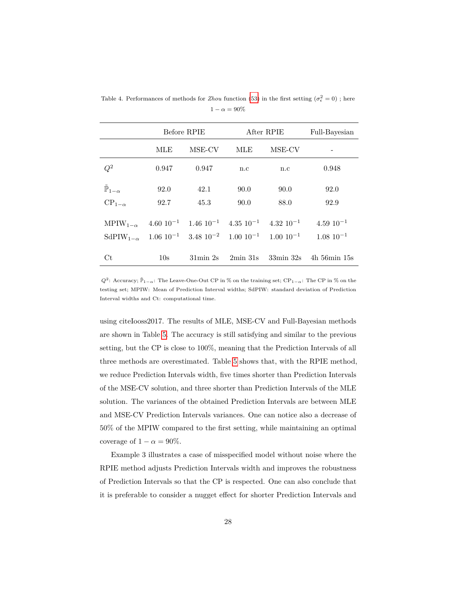|                                                                                                                               | Before RPIE     |                            | After RPIE               |                                                                                                                                | Full-Bayesian                                          |
|-------------------------------------------------------------------------------------------------------------------------------|-----------------|----------------------------|--------------------------|--------------------------------------------------------------------------------------------------------------------------------|--------------------------------------------------------|
|                                                                                                                               | MLE             | MSE-CV                     | MLE                      | MSE-CV                                                                                                                         |                                                        |
| $Q^2$                                                                                                                         | 0.947           | 0.947                      | n.c                      | n.c                                                                                                                            | 0.948                                                  |
| $\tilde{\mathbb{P}}_{1-\alpha}$                                                                                               | 92.0            | 42.1                       | 90.0                     | 90.0                                                                                                                           | 92.0                                                   |
| $CP_{1-\alpha}$                                                                                                               | 92.7            | 45.3                       | 90.0                     | 88.0                                                                                                                           | 92.9                                                   |
| MPIW <sub>1-<math>\alpha</math></sub> 4.60 10 <sup>-1</sup> 1.46 10 <sup>-1</sup> 4.35 10 <sup>-1</sup> 4.32 10 <sup>-1</sup> |                 |                            |                          |                                                                                                                                | $4.59 10^{-1}$                                         |
|                                                                                                                               |                 |                            |                          | SdPIW <sub>1-<math>\alpha</math></sub> 1.06 10 <sup>-1</sup> 3.48 10 <sup>-2</sup> 1.00 10 <sup>-1</sup> 1.00 10 <sup>-1</sup> | $1.08\ 10^{-1}$                                        |
| $C_{\rm t}$                                                                                                                   | 10 <sub>s</sub> | $31\text{min}$ $2\text{s}$ | $2\text{min }31\text{s}$ |                                                                                                                                | $33\text{min }32\text{s}$ 4h $56\text{min }15\text{s}$ |

<span id="page-27-0"></span>Table 4. Performances of methods for *Zhou* function [\(53\)](#page-25-1) in the first setting  $(\sigma_{\epsilon}^2 = 0)$ ; here  $1 - \alpha = 90\%$ 

*Q*<sup>2</sup>: Accuracy;  $\tilde{P}_{1-\alpha}$ : The Leave-One-Out CP in % on the training set; CP<sub>1−α</sub>: The CP in % on the testing set; MPIW: Mean of Prediction Interval widths; SdPIW: standard deviation of Prediction Interval widths and Ct: computational time.

using citeIooss2017. The results of MLE, MSE-CV and Full-Bayesian methods are shown in Table [5.](#page-28-1) The accuracy is still satisfying and similar to the previous setting, but the CP is close to 100%, meaning that the Prediction Intervals of all three methods are overestimated. Table [5](#page-28-1) shows that, with the RPIE method, we reduce Prediction Intervals width, five times shorter than Prediction Intervals of the MSE-CV solution, and three shorter than Prediction Intervals of the MLE solution. The variances of the obtained Prediction Intervals are between MLE and MSE-CV Prediction Intervals variances. One can notice also a decrease of 50% of the MPIW compared to the first setting, while maintaining an optimal coverage of  $1 - \alpha = 90\%$ .

Example 3 illustrates a case of misspecified model without noise where the RPIE method adjusts Prediction Intervals width and improves the robustness of Prediction Intervals so that the CP is respected. One can also conclude that it is preferable to consider a nugget effect for shorter Prediction Intervals and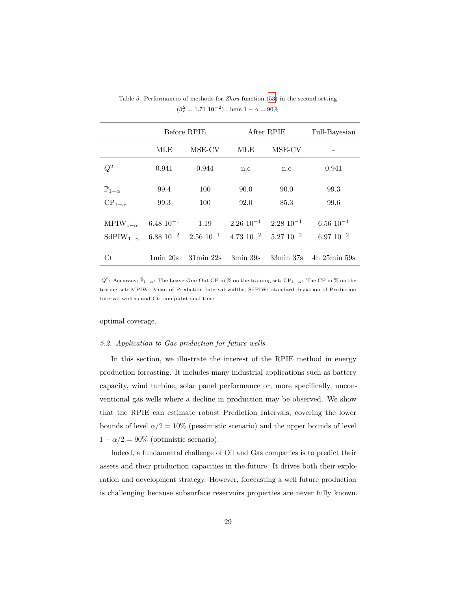|                                                             |                          | Before RPIE                                                                                                                    | After RPIE | Full-Bayesian                     |                                                        |
|-------------------------------------------------------------|--------------------------|--------------------------------------------------------------------------------------------------------------------------------|------------|-----------------------------------|--------------------------------------------------------|
|                                                             | MLE                      | MSE-CV                                                                                                                         | MLE        | MSE-CV                            |                                                        |
| $Q^2$                                                       | 0.941                    | 0.944                                                                                                                          | n.c        | n.c                               | 0.941                                                  |
| $\tilde{\mathbb{P}}_{1-\alpha}$                             | 99.4                     | 100                                                                                                                            | 90.0       | 90.0                              | 99.3                                                   |
| $CP_{1-\alpha}$                                             | 99.3                     | 100                                                                                                                            | 92.0       | 85.3                              | 99.6                                                   |
| MPIW <sub>1-<math>\alpha</math></sub> 6.48 10 <sup>-1</sup> |                          | 1.19                                                                                                                           |            | $2.26 \ 10^{-1}$ $2.28 \ 10^{-1}$ | $6.56\;10^{-1}$                                        |
|                                                             |                          | SdPIW <sub>1-<math>\alpha</math></sub> 6.88 10 <sup>-2</sup> 2.56 10 <sup>-1</sup> 4.73 10 <sup>-2</sup> 5.27 10 <sup>-2</sup> |            |                                   | $6.97 10^{-2}$                                         |
| Ct                                                          | $1\text{min} 20\text{s}$ | $31\text{min}$ $22\text{s}$                                                                                                    | 3min 39s   |                                   | $33\text{min }37\text{s}$ 4h $25\text{min }59\text{s}$ |

<span id="page-28-1"></span>Table 5. Performances of methods for *Zhou* function [\(53\)](#page-25-1) in the second setting  $(\hat{\sigma}^2_{\epsilon} = 1.71~10^{-2})$  ; here  $1-\alpha = 90\%$ 

*Q*<sup>2</sup>: Accuracy;  $\tilde{P}_{1-\alpha}$ : The Leave-One-Out CP in % on the training set; CP<sub>1−α</sub>: The CP in % on the testing set; MPIW: Mean of Prediction Interval widths; SdPIW: standard deviation of Prediction Interval widths and Ct: computational time.

optimal coverage.

#### <span id="page-28-0"></span>*5.2. Application to Gas production for future wells*

In this section, we illustrate the interest of the RPIE method in energy production forcasting. It includes many industrial applications such as battery capacity, wind turbine, solar panel performance or, more specifically, unconventional gas wells where a decline in production may be observed. We show that the RPIE can estimate robust Prediction Intervals, covering the lower bounds of level  $\alpha/2 = 10\%$  (pessimistic scenario) and the upper bounds of level  $1 - \alpha/2 = 90\%$  (optimistic scenario).

Indeed, a fundamental challenge of Oil and Gas companies is to predict their assets and their production capacities in the future. It drives both their exploration and development strategy. However, forecasting a well future production is challenging because subsurface reservoirs properties are never fully known.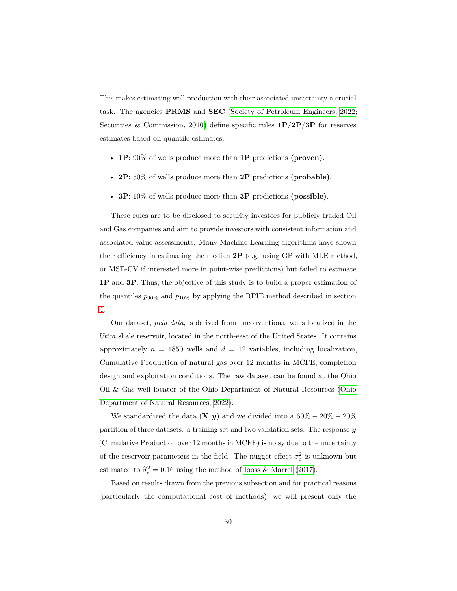This makes estimating well production with their associated uncertainty a crucial task. The agencies **PRMS** and **SEC** [\(Society of Petroleum Engineers, 2022;](#page-39-6) [Securities & Commission, 2010\)](#page-39-7) define specific rules **1P**/**2P**/**3P** for reserves estimates based on quantile estimates:

- **1P**: 90% of wells produce more than **1P** predictions **(proven)**.
- **2P**: 50% of wells produce more than **2P** predictions **(probable)**.
- **3P**: 10% of wells produce more than **3P** predictions **(possible)**.

These rules are to be disclosed to security investors for publicly traded Oil and Gas companies and aim to provide investors with consistent information and associated value assessments. Many Machine Learning algorithms have shown their efficiency in estimating the median **2P** (e.g. using GP with MLE method, or MSE-CV if interested more in point-wise predictions) but failed to estimate **1P** and **3P**. Thus, the objective of this study is to build a proper estimation of the quantiles  $p_{90\%}$  and  $p_{10\%}$  by applying the RPIE method described in section [4.](#page-11-0)

Our dataset, *field data*, is derived from unconventional wells localized in the *Utica* shale reservoir, located in the north-east of the United States. It contains approximately  $n = 1850$  wells and  $d = 12$  variables, including localization, Cumulative Production of natural gas over 12 months in MCFE, completion design and exploitation conditions. The raw dataset can be found at the Ohio Oil & Gas well locator of the Ohio Department of Natural Resources [\(Ohio](#page-38-7) [Department of Natural Resources, 2022\)](#page-38-7).

We standardized the data  $(\mathbf{X}, y)$  and we divided into a  $60\% - 20\% - 20\%$ partition of three datasets: a training set and two validation sets. The response *y* (Cumulative Production over 12 months in MCFE) is noisy due to the uncertainty of the reservoir parameters in the field. The nugget effect  $\sigma_{\epsilon}^2$  is unknown but estimated to  $\hat{\sigma}_{\epsilon}^2 = 0.16$  using the method of [Iooss & Marrel](#page-36-5) [\(2017\)](#page-36-5).

Based on results drawn from the previous subsection and for practical reasons (particularly the computational cost of methods), we will present only the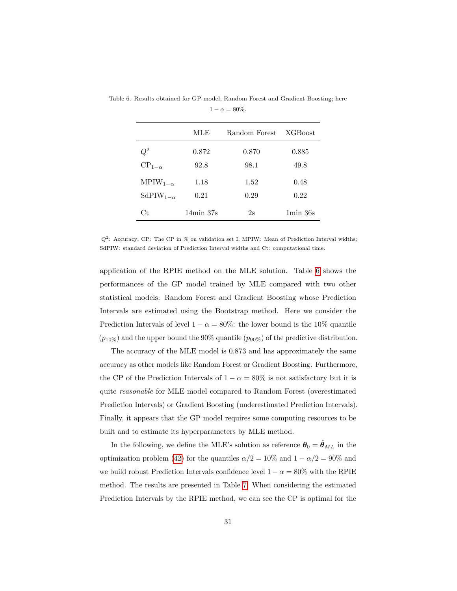|                                        | MLE                | Random Forest | <b>XGB</b> oost          |
|----------------------------------------|--------------------|---------------|--------------------------|
| $\,Q^2$                                | 0.872              | 0.870         | 0.885                    |
| $CP_{1-\alpha}$                        | 92.8               | 98.1          | 49.8                     |
| $MPIW_{1-\alpha}$                      | 1.18               | 1.52          | 0.48                     |
| SdPIW <sub>1-<math>\alpha</math></sub> | 0.21               | 0.29          | 0.22                     |
| Ct.                                    | $14\text{min}$ 37s | 2s            | $1\text{min}~36\text{s}$ |

<span id="page-30-0"></span>Table 6. Results obtained for GP model, Random Forest and Gradient Boosting; here  $1 - \alpha = 80\%.$ 

 $Q^2$ : Accuracy; CP: The CP in % on validation set I; MPIW: Mean of Prediction Interval widths; SdPIW: standard deviation of Prediction Interval widths and Ct: computational time.

application of the RPIE method on the MLE solution. Table [6](#page-30-0) shows the performances of the GP model trained by MLE compared with two other statistical models: Random Forest and Gradient Boosting whose Prediction Intervals are estimated using the Bootstrap method. Here we consider the Prediction Intervals of level  $1 - \alpha = 80\%$ : the lower bound is the 10% quantile  $(p_{10\%})$  and the upper bound the 90% quantile  $(p_{90\%})$  of the predictive distribution.

The accuracy of the MLE model is 0*.*873 and has approximately the same accuracy as other models like Random Forest or Gradient Boosting. Furthermore, the CP of the Prediction Intervals of  $1 - \alpha = 80\%$  is not satisfactory but it is quite *reasonable* for MLE model compared to Random Forest (overestimated Prediction Intervals) or Gradient Boosting (underestimated Prediction Intervals). Finally, it appears that the GP model requires some computing resources to be built and to estimate its hyperparameters by MLE method.

In the following, we define the MLE's solution as reference  $\theta_0 = \hat{\theta}_{ML}$  in the optimization problem [\(42\)](#page-16-0) for the quantiles  $\alpha/2 = 10\%$  and  $1 - \alpha/2 = 90\%$  and we build robust Prediction Intervals confidence level  $1 - \alpha = 80\%$  with the RPIE method. The results are presented in Table [7.](#page-31-0) When considering the estimated Prediction Intervals by the RPIE method, we can see the CP is optimal for the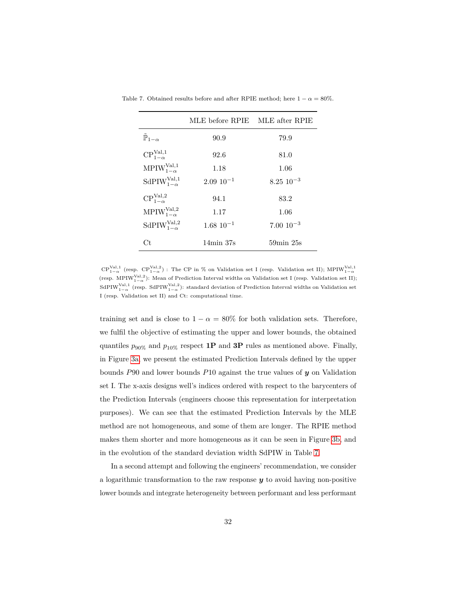|                                    | MLE before RPIE    | MLE after RPIE              |
|------------------------------------|--------------------|-----------------------------|
| $\tilde{\mathbb{P}}_{1-\alpha}$    | 90.9               | 79.9                        |
| $CP_{1-\alpha}^{\text{Val},1}$     | 92.6               | 81.0                        |
| $MPIW_{1-\alpha}^{Val,1}$          | 1.18               | 1.06                        |
| SdPIW $_{1-\alpha}^{\text{Val},1}$ | $2.0910^{-1}$      | $8.25\ 10^{-3}$             |
| $CP_{1-\alpha}^{\text{Val},2}$     | 94.1               | 83.2                        |
| $MPIW_{1-\alpha}^{\text{Val},2}$   | 1.17               | 1.06                        |
| SdPIW $_{1-\alpha}^{\text{Val},2}$ | $1.68\ 10^{-1}$    | $7.00 \; 10^{-3}$           |
| Сt                                 | $14\text{min}$ 37s | $59\text{min}$ $25\text{s}$ |

<span id="page-31-0"></span>Table 7. Obtained results before and after RPIE method; here  $1 - \alpha = 80\%$ .

 $\text{CP}^{\text{Val},1}_{1-\alpha}$  (resp.  $\text{CP}^{\text{Val},2}_{1-\alpha}$ ) : The CP in % on Validation set I (resp. Validation set II); MPIW<sup>Val,1</sup> (resp. MPIW<sup>Val,2</sup>): Mean of Prediction Interval widths on Validation set I (resp. Validation set II); SdPIW<sup>Val,1</sup> (resp. SdPIW<sup>Val,2</sup>): standard deviation of Prediction Interval widths on Validation set I (resp. Validation set II) and Ct: computational time.

training set and is close to  $1 - \alpha = 80\%$  for both validation sets. Therefore, we fulfil the objective of estimating the upper and lower bounds, the obtained quantiles  $p_{90\%}$  and  $p_{10\%}$  respect **1P** and **3P** rules as mentioned above. Finally, in Figure [3a,](#page-33-0) we present the estimated Prediction Intervals defined by the upper bounds *P*90 and lower bounds *P*10 against the true values of *y* on Validation set I. The x-axis designs well's indices ordered with respect to the barycenters of the Prediction Intervals (engineers choose this representation for interpretation purposes). We can see that the estimated Prediction Intervals by the MLE method are not homogeneous, and some of them are longer. The RPIE method makes them shorter and more homogeneous as it can be seen in Figure [3b,](#page-33-0) and in the evolution of the standard deviation width SdPIW in Table [7.](#page-31-0)

In a second attempt and following the engineers' recommendation, we consider a logarithmic transformation to the raw response *y* to avoid having non-positive lower bounds and integrate heterogeneity between performant and less performant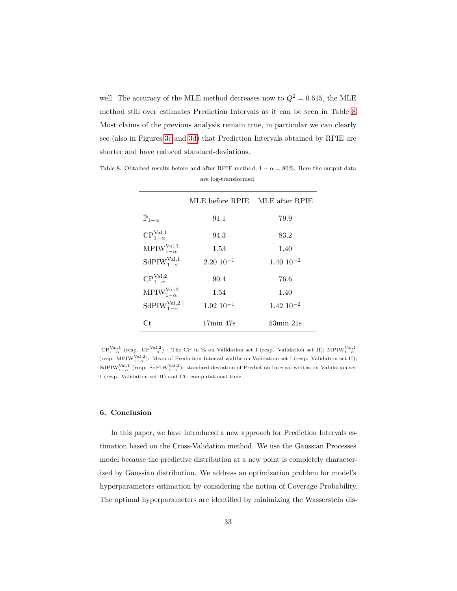well. The accuracy of the MLE method decreases now to  $Q^2 = 0.615$ , the MLE method still over estimates Prediction Intervals as it can be seen in Table [8.](#page-32-1) Most claims of the previous analysis remain true, in particular we can clearly see (also in Figures [3c](#page-33-0) and [3d\)](#page-33-0) that Prediction Intervals obtained by RPIE are shorter and have reduced standard-deviations.

|                                    | MLE before RPIE MLE after RPIE |                             |
|------------------------------------|--------------------------------|-----------------------------|
| $\tilde{\mathbb{P}}_{1-\alpha}$    | 91.1                           | 79.9                        |
| $CP_{1-\alpha}^{\text{Val},1}$     | 94.3                           | 83.2                        |
| $MPIW_{1-\alpha}^{\text{Val},1}$   | 1.53                           | 1.40                        |
| SdPIW $_{1-\alpha}^{\text{Val},1}$ | $2.20 \; 10^{-1}$              | $1.40 \; 10^{-2}$           |
| $CP_{1-\alpha}^{\text{Val},2}$     | 90.4                           | 76.6                        |
| $MPIW_{1-\alpha}^{\text{Val},2}$   | 1.54                           | 1.40                        |
| SdPIW $_{1-\alpha}^{\text{Val},2}$ | $1.92 10^{-1}$                 | $1.42 \; 10^{-2}$           |
| Ct.                                | $17\text{min}$ 47s             | $53\text{min}$ $21\text{s}$ |

<span id="page-32-1"></span>Table 8. Obtained results before and after RPIE method;  $1 - \alpha = 80\%$ . Here the output data are log-transformed.

 $\text{CP}^{\text{Val},1}_{1-\alpha}$  (resp.  $\text{CP}^{\text{Val},2}_{1-\alpha}$ ) : The CP in % on Validation set I (resp. Validation set II); MPIW<sup>Val,1</sup> (resp. MPIW<sup>Val, 2</sup>): Mean of Prediction Interval widths on Validation set I (resp. Validation set II); (resp. M1 IW<sub>1- $\alpha$ </sub>). Mean of 1 rediction interval widths on Validation set 1 (resp. validation set 1),<br>SdPIW<sub>1- $\alpha$ </sub> (resp. SdPIW<sub>1- $\alpha$ </sub>): standard deviation of Prediction Interval widths on Validation set I (resp. Validation set II) and Ct: computational time.

#### <span id="page-32-0"></span>**6. Conclusion**

In this paper, we have introduced a new approach for Prediction Intervals estimation based on the Cross-Validation method. We use the Gaussian Processes model because the predictive distribution at a new point is completely characterized by Gaussian distribution. We address an optimization problem for model's hyperparameters estimation by considering the notion of Coverage Probability. The optimal hyperparameters are identified by minimizing the Wasserstein dis-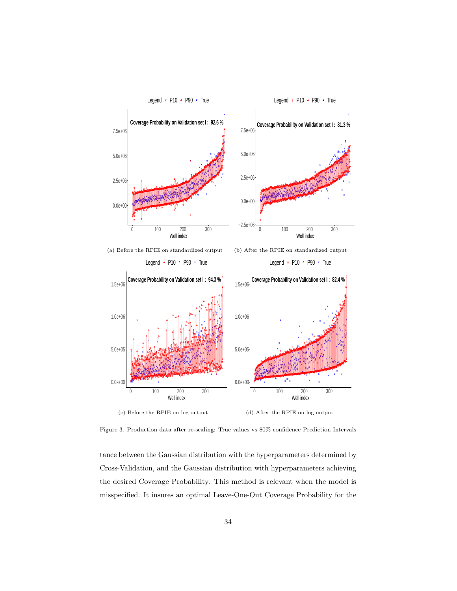<span id="page-33-0"></span>

0 100 200 300 Well index (c) Before the RPIE on log output 0 100 200 300 Well index (d) After the RPIE on log output

 $0.0e + 0$ 

5.0e+05

1.0e+06

 $0.0e + 00$ 

5.0e+05

1.0e+06

Figure 3. Production data after re-scaling: True values vs 80% confidence Prediction Intervals

tance between the Gaussian distribution with the hyperparameters determined by Cross-Validation, and the Gaussian distribution with hyperparameters achieving the desired Coverage Probability. This method is relevant when the model is misspecified. It insures an optimal Leave-One-Out Coverage Probability for the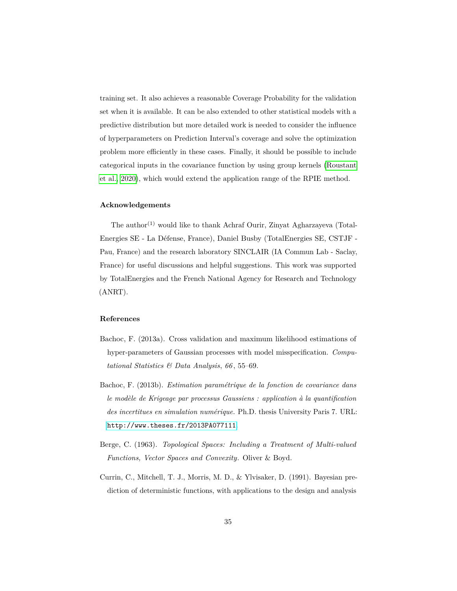training set. It also achieves a reasonable Coverage Probability for the validation set when it is available. It can be also extended to other statistical models with a predictive distribution but more detailed work is needed to consider the influence of hyperparameters on Prediction Interval's coverage and solve the optimization problem more efficiently in these cases. Finally, it should be possible to include categorical inputs in the covariance function by using group kernels [\(Roustant](#page-39-4) [et al., 2020\)](#page-39-4), which would extend the application range of the RPIE method.

# **Acknowledgements**

The author<sup>(1)</sup> would like to thank Achraf Ourir, Zinyat Agharzayeva (Total-Energies SE - La Défense, France), Daniel Busby (TotalEnergies SE, CSTJF - Pau, France) and the research laboratory SINCLAIR (IA Commun Lab - Saclay, France) for useful discussions and helpful suggestions. This work was supported by TotalEnergies and the French National Agency for Research and Technology (ANRT).

# **References**

- <span id="page-34-2"></span>Bachoc, F. (2013a). Cross validation and maximum likelihood estimations of hyper-parameters of Gaussian processes with model misspecification. *Computational Statistics & Data Analysis*, *66* , 55–69.
- <span id="page-34-0"></span>Bachoc, F. (2013b). *Estimation paramétrique de la fonction de covariance dans le modèle de Krigeage par processus Gaussiens : application à la quantification des incertitues en simulation numérique*. Ph.D. thesis University Paris 7. URL: <http://www.theses.fr/2013PA077111>.
- <span id="page-34-3"></span>Berge, C. (1963). *Topological Spaces: Including a Treatment of Multi-valued Functions, Vector Spaces and Convexity*. Oliver & Boyd.
- <span id="page-34-1"></span>Currin, C., Mitchell, T. J., Morris, M. D., & Ylvisaker, D. (1991). Bayesian prediction of deterministic functions, with applications to the design and analysis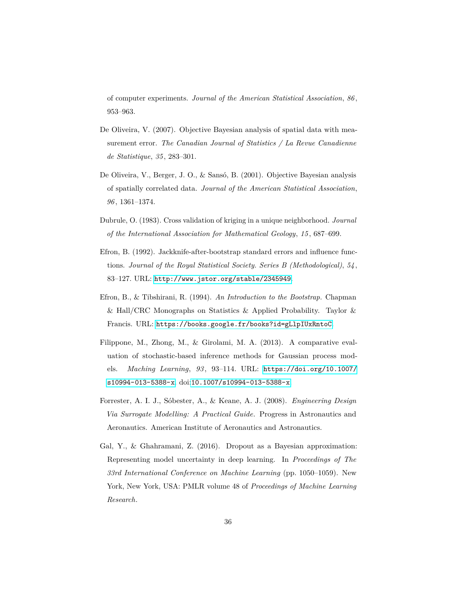of computer experiments. *Journal of the American Statistical Association*, *86* , 953–963.

- <span id="page-35-6"></span>De Oliveira, V. (2007). Objective Bayesian analysis of spatial data with measurement error. *The Canadian Journal of Statistics / La Revue Canadienne de Statistique*, *35* , 283–301.
- <span id="page-35-7"></span>De Oliveira, V., Berger, J. O., & Sansó, B. (2001). Objective Bayesian analysis of spatially correlated data. *Journal of the American Statistical Association*, *96* , 1361–1374.
- <span id="page-35-4"></span>Dubrule, O. (1983). Cross validation of kriging in a unique neighborhood. *Journal of the International Association for Mathematical Geology*, *15* , 687–699.
- <span id="page-35-1"></span>Efron, B. (1992). Jackknife-after-bootstrap standard errors and influence functions. *Journal of the Royal Statistical Society. Series B (Methodological)*, *54* , 83–127. URL: <http://www.jstor.org/stable/2345949>.
- <span id="page-35-0"></span>Efron, B., & Tibshirani, R. (1994). *An Introduction to the Bootstrap*. Chapman & Hall/CRC Monographs on Statistics & Applied Probability. Taylor & Francis. URL: <https://books.google.fr/books?id=gLlpIUxRntoC>.
- <span id="page-35-3"></span>Filippone, M., Zhong, M., & Girolami, M. A. (2013). A comparative evaluation of stochastic-based inference methods for Gaussian process models. *Maching Learning*, *93* , 93–114. URL: [https://doi.org/10.1007/](https://doi.org/10.1007/s10994-013-5388-x) [s10994-013-5388-x](https://doi.org/10.1007/s10994-013-5388-x). doi:[10.1007/s10994-013-5388-x](http://dx.doi.org/10.1007/s10994-013-5388-x).
- <span id="page-35-5"></span>Forrester, A. I. J., Sóbester, A., & Keane, A. J. (2008). *Engineering Design Via Surrogate Modelling: A Practical Guide*. Progress in Astronautics and Aeronautics. American Institute of Aeronautics and Astronautics.
- <span id="page-35-2"></span>Gal, Y., & Ghahramani, Z. (2016). Dropout as a Bayesian approximation: Representing model uncertainty in deep learning. In *Proceedings of The 33rd International Conference on Machine Learning* (pp. 1050–1059). New York, New York, USA: PMLR volume 48 of *Proceedings of Machine Learning Research*.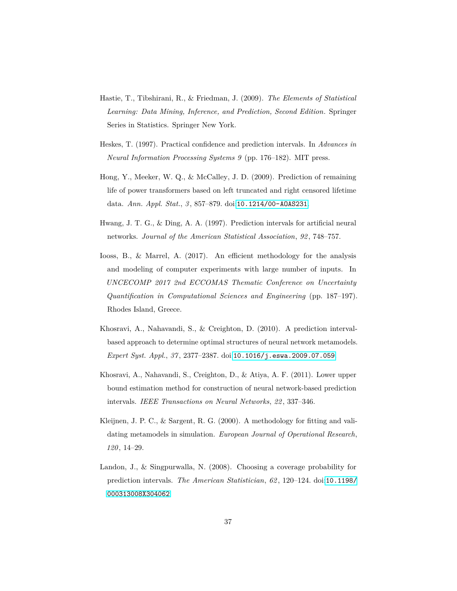- <span id="page-36-6"></span>Hastie, T., Tibshirani, R., & Friedman, J. (2009). *The Elements of Statistical Learning: Data Mining, Inference, and Prediction, Second Edition*. Springer Series in Statistics. Springer New York.
- <span id="page-36-0"></span>Heskes, T. (1997). Practical confidence and prediction intervals. In *Advances in Neural Information Processing Systems 9* (pp. 176–182). MIT press.
- <span id="page-36-7"></span>Hong, Y., Meeker, W. Q., & McCalley, J. D. (2009). Prediction of remaining life of power transformers based on left truncated and right censored lifetime data. *Ann. Appl. Stat.*, *3* , 857–879. doi:[10.1214/00-AOAS231](http://dx.doi.org/10.1214/00-AOAS231).
- <span id="page-36-1"></span>Hwang, J. T. G., & Ding, A. A. (1997). Prediction intervals for artificial neural networks. *Journal of the American Statistical Association*, *92* , 748–757.
- <span id="page-36-5"></span>Iooss, B., & Marrel, A. (2017). An efficient methodology for the analysis and modeling of computer experiments with large number of inputs. In *UNCECOMP 2017 2nd ECCOMAS Thematic Conference on Uncertainty Quantification in Computational Sciences and Engineering* (pp. 187–197). Rhodes Island, Greece.
- <span id="page-36-4"></span>Khosravi, A., Nahavandi, S., & Creighton, D. (2010). A prediction intervalbased approach to determine optimal structures of neural network metamodels. *Expert Syst. Appl.*, *37* , 2377–2387. doi:[10.1016/j.eswa.2009.07.059](http://dx.doi.org/10.1016/j.eswa.2009.07.059).
- <span id="page-36-2"></span>Khosravi, A., Nahavandi, S., Creighton, D., & Atiya, A. F. (2011). Lower upper bound estimation method for construction of neural network-based prediction intervals. *IEEE Transactions on Neural Networks*, *22* , 337–346.
- <span id="page-36-8"></span>Kleijnen, J. P. C., & Sargent, R. G. (2000). A methodology for fitting and validating metamodels in simulation. *European Journal of Operational Research*, *120* , 14–29.
- <span id="page-36-3"></span>Landon, J., & Singpurwalla, N. (2008). Choosing a coverage probability for prediction intervals. *The American Statistician*, *62* , 120–124. doi:[10.1198/](http://dx.doi.org/10.1198/000313008X304062) [000313008X304062](http://dx.doi.org/10.1198/000313008X304062).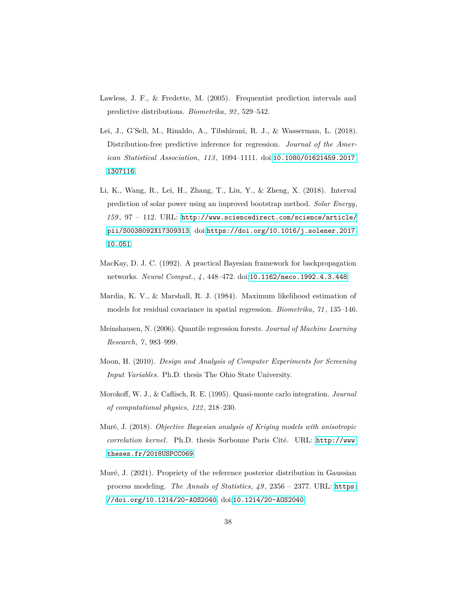- <span id="page-37-6"></span>Lawless, J. F., & Fredette, M. (2005). Frequentist prediction intervals and predictive distributions. *Biometrika*, *92* , 529–542.
- <span id="page-37-2"></span>Lei, J., G'Sell, M., Rinaldo, A., Tibshirani, R. J., & Wasserman, L. (2018). Distribution-free predictive inference for regression. *Journal of the American Statistical Association*, *113* , 1094–1111. doi:[10.1080/01621459.2017.](http://dx.doi.org/10.1080/01621459.2017.1307116) [1307116](http://dx.doi.org/10.1080/01621459.2017.1307116).
- <span id="page-37-0"></span>Li, K., Wang, R., Lei, H., Zhang, T., Liu, Y., & Zheng, X. (2018). Interval prediction of solar power using an improved bootstrap method. *Solar Energy*, *159* , 97 – 112. URL: [http://www.sciencedirect.com/science/article/](http://www.sciencedirect.com/science/article/pii/S0038092X17309313) [pii/S0038092X17309313](http://www.sciencedirect.com/science/article/pii/S0038092X17309313). doi:[https://doi.org/10.1016/j.solener.2017.](http://dx.doi.org/https://doi.org/10.1016/j.solener.2017.10.051) [10.051](http://dx.doi.org/https://doi.org/10.1016/j.solener.2017.10.051).
- <span id="page-37-3"></span>MacKay, D. J. C. (1992). A practical Bayesian framework for backpropagation networks. *Neural Comput.*, *4* , 448–472. doi:[10.1162/neco.1992.4.3.448](http://dx.doi.org/10.1162/neco.1992.4.3.448).
- <span id="page-37-4"></span>Mardia, K. V., & Marshall, R. J. (1984). Maximum likelihood estimation of models for residual covariance in spatial regression. *Biometrika*, *71* , 135–146.
- <span id="page-37-1"></span>Meinshausen, N. (2006). Quantile regression forests. *Journal of Machine Learning Research*, *7* , 983–999.
- <span id="page-37-8"></span>Moon, H. (2010). *Design and Analysis of Computer Experiments for Screening Input Variables*. Ph.D. thesis The Ohio State University.
- <span id="page-37-7"></span>Morokoff, W. J., & Caflisch, R. E. (1995). Quasi-monte carlo integration. *Journal of computational physics*, *122* , 218–230.
- <span id="page-37-5"></span>Muré, J. (2018). *Objective Bayesian analysis of Kriging models with anisotropic correlation kernel*. Ph.D. thesis Sorbonne Paris Cité. URL: [http://www.](http://www.theses.fr/2018USPCC069) [theses.fr/2018USPCC069](http://www.theses.fr/2018USPCC069).
- <span id="page-37-9"></span>Muré, J. (2021). Propriety of the reference posterior distribution in Gaussian process modeling. *The Annals of Statistics*, *49* , 2356 – 2377. URL: [https:](https://doi.org/10.1214/20-AOS2040) [//doi.org/10.1214/20-AOS2040](https://doi.org/10.1214/20-AOS2040). doi:[10.1214/20-AOS2040](http://dx.doi.org/10.1214/20-AOS2040).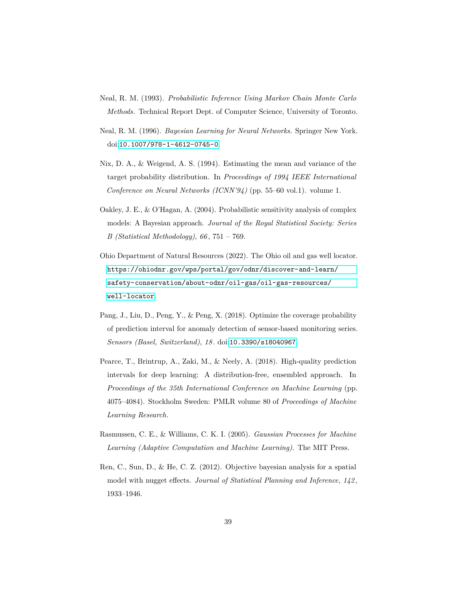- <span id="page-38-5"></span>Neal, R. M. (1993). *Probabilistic Inference Using Markov Chain Monte Carlo Methods*. Technical Report Dept. of Computer Science, University of Toronto.
- <span id="page-38-6"></span>Neal, R. M. (1996). *Bayesian Learning for Neural Networks*. Springer New York. doi:[10.1007/978-1-4612-0745-0](http://dx.doi.org/10.1007/978-1-4612-0745-0).
- <span id="page-38-0"></span>Nix, D. A., & Weigend, A. S. (1994). Estimating the mean and variance of the target probability distribution. In *Proceedings of 1994 IEEE International Conference on Neural Networks (ICNN'94)* (pp. 55–60 vol.1). volume 1.
- <span id="page-38-4"></span>Oakley, J. E., & O'Hagan, A. (2004). Probabilistic sensitivity analysis of complex models: A Bayesian approach. *Journal of the Royal Statistical Society: Series B (Statistical Methodology)*, *66* , 751 – 769.
- <span id="page-38-7"></span>Ohio Department of Natural Resources (2022). The Ohio oil and gas well locator. [https://ohiodnr.gov/wps/portal/gov/odnr/discover-and-learn/](https://ohiodnr.gov/wps/portal/gov/odnr/discover-and-learn/safety-conservation/about-odnr/oil-gas/oil-gas-resources/well-locator) [safety-conservation/about-odnr/oil-gas/oil-gas-resources/](https://ohiodnr.gov/wps/portal/gov/odnr/discover-and-learn/safety-conservation/about-odnr/oil-gas/oil-gas-resources/well-locator) [well-locator](https://ohiodnr.gov/wps/portal/gov/odnr/discover-and-learn/safety-conservation/about-odnr/oil-gas/oil-gas-resources/well-locator).
- <span id="page-38-2"></span>Pang, J., Liu, D., Peng, Y., & Peng, X. (2018). Optimize the coverage probability of prediction interval for anomaly detection of sensor-based monitoring series. *Sensors (Basel, Switzerland)*, *18* . doi:[10.3390/s18040967](http://dx.doi.org/10.3390/s18040967).
- <span id="page-38-1"></span>Pearce, T., Brintrup, A., Zaki, M., & Neely, A. (2018). High-quality prediction intervals for deep learning: A distribution-free, ensembled approach. In *Proceedings of the 35th International Conference on Machine Learning* (pp. 4075–4084). Stockholm Sweden: PMLR volume 80 of *Proceedings of Machine Learning Research*.
- <span id="page-38-3"></span>Rasmussen, C. E., & Williams, C. K. I. (2005). *Gaussian Processes for Machine Learning (Adaptive Computation and Machine Learning)*. The MIT Press.
- <span id="page-38-8"></span>Ren, C., Sun, D., & He, C. Z. (2012). Objective bayesian analysis for a spatial model with nugget effects. *Journal of Statistical Planning and Inference*, *142* , 1933–1946.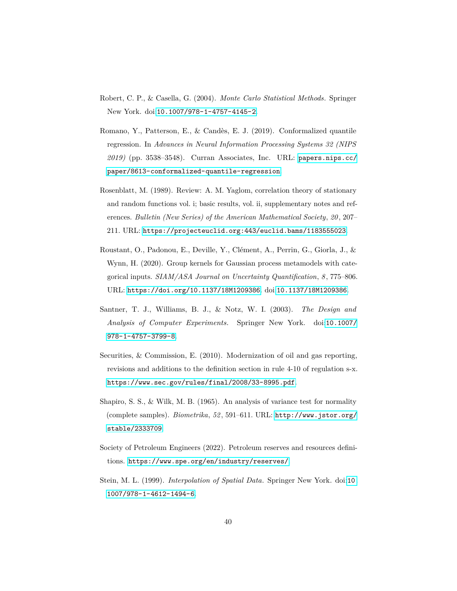- <span id="page-39-3"></span>Robert, C. P., & Casella, G. (2004). *Monte Carlo Statistical Methods*. Springer New York. doi:[10.1007/978-1-4757-4145-2](http://dx.doi.org/10.1007/978-1-4757-4145-2).
- <span id="page-39-0"></span>Romano, Y., Patterson, E., & Candès, E. J. (2019). Conformalized quantile regression. In *Advances in Neural Information Processing Systems 32 (NIPS 2019)* (pp. 3538–3548). Curran Associates, Inc. URL: [papers.nips.cc/](papers.nips.cc/paper/8613-conformalized-quantile-regression) [paper/8613-conformalized-quantile-regression](papers.nips.cc/paper/8613-conformalized-quantile-regression).
- <span id="page-39-8"></span>Rosenblatt, M. (1989). Review: A. M. Yaglom, correlation theory of stationary and random functions vol. i; basic results, vol. ii, supplementary notes and references. *Bulletin (New Series) of the American Mathematical Society*, 20, 207– 211. URL: <https://projecteuclid.org:443/euclid.bams/1183555023>.
- <span id="page-39-4"></span>Roustant, O., Padonou, E., Deville, Y., Clément, A., Perrin, G., Giorla, J., & Wynn, H. (2020). Group kernels for Gaussian process metamodels with categorical inputs. *SIAM/ASA Journal on Uncertainty Quantification*, *8* , 775–806. URL: <https://doi.org/10.1137/18M1209386>. doi:[10.1137/18M1209386](http://dx.doi.org/10.1137/18M1209386).
- <span id="page-39-2"></span>Santner, T. J., Williams, B. J., & Notz, W. I. (2003). *The Design and Analysis of Computer Experiments*. Springer New York. doi:[10.1007/](http://dx.doi.org/10.1007/978-1-4757-3799-8) [978-1-4757-3799-8](http://dx.doi.org/10.1007/978-1-4757-3799-8).
- <span id="page-39-7"></span>Securities, & Commission, E. (2010). Modernization of oil and gas reporting, revisions and additions to the definition section in rule 4-10 of regulation s-x. <https://www.sec.gov/rules/final/2008/33-8995.pdf>.
- <span id="page-39-5"></span>Shapiro, S. S., & Wilk, M. B. (1965). An analysis of variance test for normality (complete samples). *Biometrika*, *52* , 591–611. URL: [http://www.jstor.org/](http://www.jstor.org/stable/2333709) [stable/2333709](http://www.jstor.org/stable/2333709).
- <span id="page-39-6"></span>Society of Petroleum Engineers (2022). Petroleum reserves and resources definitions. <https://www.spe.org/en/industry/reserves/>.
- <span id="page-39-1"></span>Stein, M. L. (1999). *Interpolation of Spatial Data*. Springer New York. doi:[10.](http://dx.doi.org/10.1007/978-1-4612-1494-6) [1007/978-1-4612-1494-6](http://dx.doi.org/10.1007/978-1-4612-1494-6).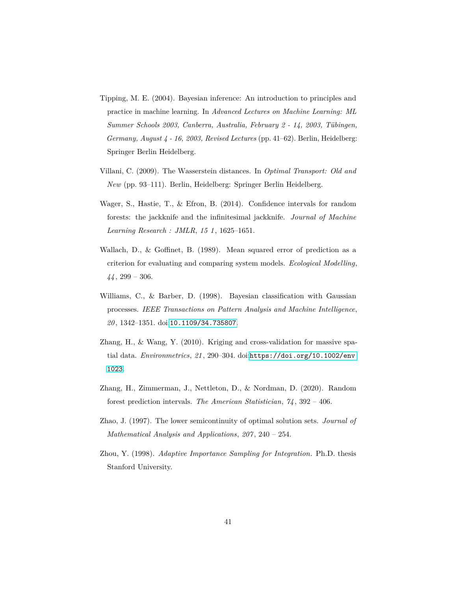- <span id="page-40-2"></span>Tipping, M. E. (2004). Bayesian inference: An introduction to principles and practice in machine learning. In *Advanced Lectures on Machine Learning: ML Summer Schools 2003, Canberra, Australia, February 2 - 14, 2003, Tübingen, Germany, August 4 - 16, 2003, Revised Lectures* (pp. 41–62). Berlin, Heidelberg: Springer Berlin Heidelberg.
- <span id="page-40-6"></span>Villani, C. (2009). The Wasserstein distances. In *Optimal Transport: Old and New* (pp. 93–111). Berlin, Heidelberg: Springer Berlin Heidelberg.
- <span id="page-40-0"></span>Wager, S., Hastie, T., & Efron, B. (2014). Confidence intervals for random forests: the jackknife and the infinitesimal jackknife. *Journal of Machine Learning Research : JMLR*, *15 1* , 1625–1651.
- <span id="page-40-4"></span>Wallach, D., & Goffinet, B. (1989). Mean squared error of prediction as a criterion for evaluating and comparing system models. *Ecological Modelling*, *44* , 299 – 306.
- <span id="page-40-5"></span>Williams, C., & Barber, D. (1998). Bayesian classification with Gaussian processes. *IEEE Transactions on Pattern Analysis and Machine Intelligence*, *20* , 1342–1351. doi:[10.1109/34.735807](http://dx.doi.org/10.1109/34.735807).
- <span id="page-40-3"></span>Zhang, H., & Wang, Y. (2010). Kriging and cross-validation for massive spatial data. *Environmetrics*, *21* , 290–304. doi:[https://doi.org/10.1002/env.](http://dx.doi.org/https://doi.org/10.1002/env.1023) [1023](http://dx.doi.org/https://doi.org/10.1002/env.1023).
- <span id="page-40-1"></span>Zhang, H., Zimmerman, J., Nettleton, D., & Nordman, D. (2020). Random forest prediction intervals. *The American Statistician*, *74* , 392 – 406.
- <span id="page-40-7"></span>Zhao, J. (1997). The lower semicontinuity of optimal solution sets. *Journal of Mathematical Analysis and Applications*, *207* , 240 – 254.
- <span id="page-40-8"></span>Zhou, Y. (1998). *Adaptive Importance Sampling for Integration*. Ph.D. thesis Stanford University.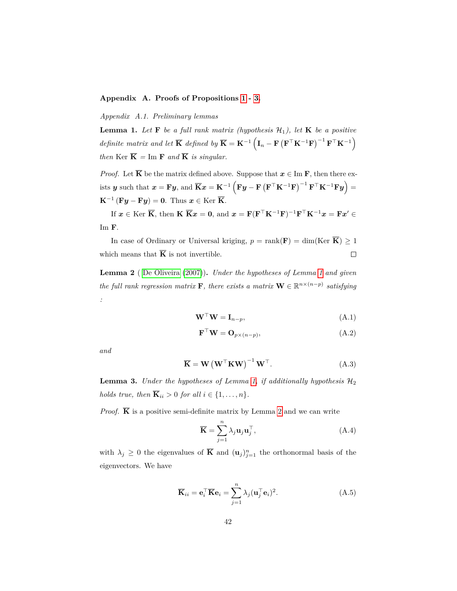# <span id="page-41-1"></span>**Appendix A. Proofs of Propositions [1](#page-14-1) - [3.](#page-16-1)**

<span id="page-41-2"></span>*Appendix A.1. Preliminary lemmas*

**Lemma 1.** Let **F** be a full rank matrix (hypothesis  $\mathcal{H}_1$ ), let **K** be a positive *definite matrix and let*  $\overline{\mathbf{K}}$  *defined by*  $\overline{\mathbf{K}} = \mathbf{K}^{-1} \left( \mathbf{I}_n - \mathbf{F} \left( \mathbf{F}^\top \mathbf{K}^{-1} \mathbf{F} \right)^{-1} \mathbf{F}^\top \mathbf{K}^{-1} \right)$ *then* Ker  $\overline{\mathbf{K}}$  = Im **F** *and*  $\overline{\mathbf{K}}$  *is singular.* 

*Proof.* Let  $\overline{K}$  be the matrix defined above. Suppose that  $x \in \text{Im } F$ , then there ex- $\mathbf{y}$  such that  $\mathbf{x} = \mathbf{F}\mathbf{y}$ , and  $\overline{\mathbf{K}}\mathbf{x} = \mathbf{K}^{-1} \left( \mathbf{F}\mathbf{y} - \mathbf{F} \left( \mathbf{F}^{\top} \mathbf{K}^{-1} \mathbf{F} \right)^{-1} \mathbf{F}^{\top} \mathbf{K}^{-1} \mathbf{F} \mathbf{y} \right) =$  $\mathbf{K}^{-1}(\mathbf{F}\boldsymbol{y}-\mathbf{F}\boldsymbol{y})=\mathbf{0}$ . Thus  $\boldsymbol{x}\in\text{Ker }\overline{\mathbf{K}}$ .

If  $x \in \text{Ker } \overline{\mathbf{K}}$ , then  $\mathbf{K} \overline{\mathbf{K}}x = \mathbf{0}$ , and  $x = \mathbf{F}(\mathbf{F}^\top \mathbf{K}^{-1} \mathbf{F})^{-1} \mathbf{F}^\top \mathbf{K}^{-1} x = \mathbf{F} x' \in \mathbf{0}$ Im **F**.

In case of Ordinary or Universal kriging,  $p = \text{rank}(\mathbf{F}) = \dim(\text{Ker } \overline{\mathbf{K}}) \geq 1$ which means that  $\overline{K}$  is not invertible.  $\Box$ 

<span id="page-41-3"></span>**Lemma 2** ( [De Oliveira](#page-35-6) [\(2007\)](#page-35-6))**.** *Under the hypotheses of Lemma [1](#page-41-2) and given the full rank regression matrix* **F***, there exists a matrix*  $\mathbf{W} \in \mathbb{R}^{n \times (n-p)}$  *satisfying :*

$$
\mathbf{W}^{\top}\mathbf{W} = \mathbf{I}_{n-p},\tag{A.1}
$$

$$
\mathbf{F}^{\top}\mathbf{W} = \mathbf{O}_{p \times (n-p)},\tag{A.2}
$$

*and*

$$
\overline{\mathbf{K}} = \mathbf{W} \left( \mathbf{W}^{\top} \mathbf{K} \mathbf{W} \right)^{-1} \mathbf{W}^{\top}.
$$
 (A.3)

<span id="page-41-0"></span>**Lemma 3.** *Under the hypotheses of Lemma [1,](#page-41-2) if additionally hypothesis*  $H_2$ *holds true, then*  $\overline{\mathbf{K}}_{ii} > 0$  *for all*  $i \in \{1, \ldots, n\}$ *.* 

*Proof.*  $\overline{K}$  is a positive semi-definite matrix by Lemma [2](#page-41-3) and we can write

$$
\overline{\mathbf{K}} = \sum_{j=1}^{n} \lambda_j \mathbf{u}_j \mathbf{u}_j^{\top},
$$
 (A.4)

with  $\lambda_j \geq 0$  the eigenvalues of  $\overline{K}$  and  $(\mathbf{u}_j)_{j=1}^n$  the orthonormal basis of the eigenvectors. We have

$$
\overline{\mathbf{K}}_{ii} = \mathbf{e}_i^{\top} \overline{\mathbf{K}} \mathbf{e}_i = \sum_{j=1}^n \lambda_j (\mathbf{u}_j^{\top} \mathbf{e}_i)^2.
$$
 (A.5)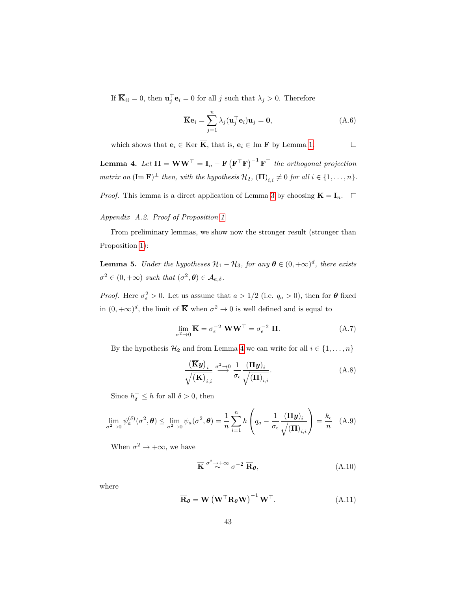If  $\overline{\mathbf{K}}_{ii} = 0$ , then  $\mathbf{u}_j^{\top} \mathbf{e}_i = 0$  for all *j* such that  $\lambda_j > 0$ . Therefore

$$
\overline{\mathbf{K}}\mathbf{e}_i = \sum_{j=1}^n \lambda_j (\mathbf{u}_j^\top \mathbf{e}_i) \mathbf{u}_j = \mathbf{0},
$$
 (A.6)

which shows that  $\mathbf{e}_i \in \text{Ker } \overline{\mathbf{K}}$ , that is,  $\mathbf{e}_i \in \text{Im } \mathbf{F}$  by Lemma [1.](#page-41-2)  $\Box$ 

<span id="page-42-0"></span>**Lemma 4.** Let  $\Pi = \mathbf{W}\mathbf{W}^{\top} = \mathbf{I}_n - \mathbf{F}(\mathbf{F}^{\top}\mathbf{F})^{-1}\mathbf{F}^{\top}$  the orthogonal projection *matrix on*  $(\text{Im } \mathbf{F})^{\perp}$  *then, with the hypothesis*  $\mathcal{H}_2$ *,*  $(\mathbf{\Pi})_{i,i} \neq 0$  *for all*  $i \in \{1, ..., n\}$ *.* 

*Proof.* This lemma is a direct application of Lemma [3](#page-41-0) by choosing  $\mathbf{K} = \mathbf{I}_n$ .  $\Box$ 

# *Appendix A.2. Proof of Proposition [1](#page-14-1)*

From preliminary lemmas, we show now the stronger result (stronger than Proposition [1\)](#page-14-1):

<span id="page-42-1"></span>**Lemma 5.** *Under the hypotheses*  $\mathcal{H}_1 - \mathcal{H}_3$ *, for any*  $\boldsymbol{\theta} \in (0, +\infty)^d$ *, there exists*  $\sigma^2 \in (0, +\infty)$  *such that*  $(\sigma^2, \theta) \in \mathcal{A}_{a,\delta}$ *.* 

*Proof.* Here  $\sigma_{\epsilon}^2 > 0$ . Let us assume that  $a > 1/2$  (i.e.  $q_a > 0$ ), then for  $\theta$  fixed in  $(0, +\infty)^d$ , the limit of  $\overline{K}$  when  $\sigma^2 \to 0$  is well defined and is equal to

$$
\lim_{\sigma^2 \to 0} \overline{\mathbf{K}} = \sigma_{\epsilon}^{-2} \mathbf{W} \mathbf{W}^{\top} = \sigma_{\epsilon}^{-2} \mathbf{\Pi}.
$$
 (A.7)

By the hypothesis  $\mathcal{H}_2$  and from Lemma [4](#page-42-0) we can write for all  $i \in \{1, ..., n\}$ 

$$
\frac{\left(\overline{\mathbf{K}}\mathbf{y}\right)_i}{\sqrt{\left(\overline{\mathbf{K}}\right)_{i,i}}}\stackrel{\sigma^2\to 0}{\longrightarrow}\frac{1}{\sigma_\epsilon}\frac{\left(\Pi\mathbf{y}\right)_i}{\sqrt{\left(\Pi\right)_{i,i}}}.\tag{A.8}
$$

Since  $h_{\delta}^{+} \leq h$  for all  $\delta > 0$ , then

$$
\lim_{\sigma^2 \to 0} \psi_a^{(\delta)}(\sigma^2, \theta) \le \lim_{\sigma^2 \to 0} \psi_a(\sigma^2, \theta) = \frac{1}{n} \sum_{i=1}^n h\left(q_a - \frac{1}{\sigma_\epsilon} \frac{(\Pi \mathbf{y})_i}{\sqrt{(\Pi)_{i,i}}}\right) = \frac{k_\epsilon}{n} \quad (A.9)
$$

When  $\sigma^2 \to +\infty$ , we have

$$
\overline{\mathbf{K}} \stackrel{\sigma^2 \to +\infty}{\sim} \sigma^{-2} \overline{\mathbf{R}}_{\theta}, \tag{A.10}
$$

where

$$
\overline{\mathbf{R}}_{\theta} = \mathbf{W} \left( \mathbf{W}^{\top} \mathbf{R}_{\theta} \mathbf{W} \right)^{-1} \mathbf{W}^{\top}.
$$
 (A.11)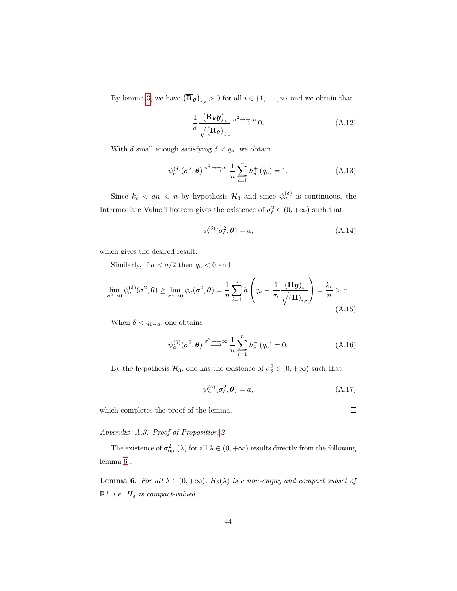By lemma [3,](#page-41-0) we have  $(\overline{\mathbf{R}}_{\theta})_{i,i} > 0$  for all  $i \in \{1, ..., n\}$  and we obtain that

$$
\frac{1}{\sigma} \frac{\left(\overline{\mathbf{R}}_{\theta} \mathbf{y}\right)_i}{\sqrt{\left(\overline{\mathbf{R}}_{\theta}\right)_{i,i}}} \stackrel{\sigma^2 \to +\infty}{\longrightarrow} 0.
$$
\n(A.12)

With  $\delta$  small enough satisfying  $\delta < q_a$ , we obtain

$$
\psi_a^{(\delta)}(\sigma^2, \theta) \stackrel{\sigma^2 \to +\infty}{\longrightarrow} \frac{1}{n} \sum_{i=1}^n h_\delta^+(q_a) = 1.
$$
 (A.13)

Since  $k_{\epsilon} < an < n$  by hypothesis  $\mathcal{H}_3$  and since  $\psi_a^{(\delta)}$  is continuous, the Intermediate Value Theorem gives the existence of  $\sigma_{\delta}^2 \in (0, +\infty)$  such that

$$
\psi_a^{(\delta)}(\sigma_\delta^2, \boldsymbol{\theta}) = a,\tag{A.14}
$$

which gives the desired result.

Similarly, if  $a < a/2$  then  $q_a < 0$  and

$$
\lim_{\sigma^2 \to 0} \psi_a^{(\delta)}(\sigma^2, \theta) \ge \lim_{\sigma^2 \to 0} \psi_a(\sigma^2, \theta) = \frac{1}{n} \sum_{i=1}^n h\left(q_a - \frac{1}{\sigma_\epsilon} \frac{(\Pi \boldsymbol{y})_i}{\sqrt{(\Pi)_{i,i}}}\right) = \frac{k_\epsilon}{n} > a.
$$
\n(A.15)

When  $\delta < q_{1-a}$ , one obtains

$$
\psi_a^{(\delta)}(\sigma^2, \boldsymbol{\theta}) \stackrel{\sigma^2 \to +\infty}{\longrightarrow} \frac{1}{n} \sum_{i=1}^n h_\delta^-(q_a) = 0.
$$
 (A.16)

By the hypothesis  $\mathcal{H}_3$ , one has the existence of  $\sigma_{\delta}^2 \in (0, +\infty)$  such that

$$
\psi_a^{(\delta)}(\sigma_\delta^2, \boldsymbol{\theta}) = a,\tag{A.17}
$$

which completes the proof of the lemma.

*Appendix A.3. Proof of Proposition [2](#page-15-0)*

The existence of  $\sigma_{\rm opt}^2(\lambda)$  for all  $\lambda \in (0, +\infty)$  results directly from the following lemma [6](#page-43-0) :

<span id="page-43-0"></span>**Lemma 6.** *For all*  $\lambda \in (0, +\infty)$ *,*  $H_{\delta}(\lambda)$  *is a non-empty and compact subset of*  $\mathbb{R}^+$  *i.e.*  $H_\delta$  *is compact-valued.* 

 $\Box$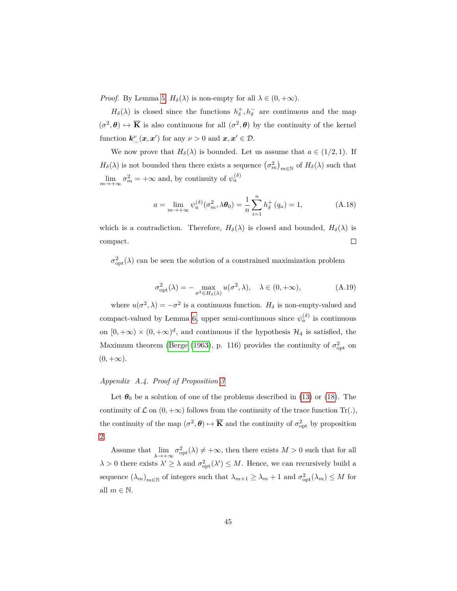*Proof.* By Lemma [5,](#page-42-1)  $H_{\delta}(\lambda)$  is non-empty for all  $\lambda \in (0, +\infty)$ .

 $H_{\delta}(\lambda)$  is closed since the functions  $h_{\delta}^{+}$ ,  $h_{\delta}^{-}$  are continuous and the map  $(\sigma^2, \theta) \mapsto \overline{\mathbf{K}}$  is also continuous for all  $(\sigma^2, \theta)$  by the continuity of the kernel function  $\mathbf{k}^{\nu}_{, \cdot}(\mathbf{x}, \mathbf{x}')$  for any  $\nu > 0$  and  $\mathbf{x}, \mathbf{x}' \in \mathcal{D}$ .

We now prove that  $H_\delta(\lambda)$  is bounded. Let us assume that  $a \in (1/2, 1)$ . If *H*<sup> $\delta$ </sup>( $\lambda$ ) is not bounded then there exists a sequence  $(\sigma_m^2)$ <sub>*m*∈N</sub> of *H*<sup> $\delta$ </sup>( $\lambda$ ) such that  $\lim_{m \to +\infty} \sigma_m^2 = +\infty$  and, by continuity of  $\psi_a^{(\delta)}$ 

$$
a = \lim_{m \to +\infty} \psi_a^{(\delta)}(\sigma_m^2, \lambda \theta_0) = \frac{1}{n} \sum_{i=1}^n h_\delta^+(q_a) = 1,
$$
 (A.18)

which is a contradiction. Therefore,  $H_{\delta}(\lambda)$  is closed and bounded,  $H_{\delta}(\lambda)$  is  $\Box$ compact.

 $\sigma_{\rm opt}^2(\lambda)$  can be seen the solution of a constrained maximization problem

$$
\sigma_{\text{opt}}^2(\lambda) = -\max_{\sigma^2 \in H_\delta(\lambda)} u(\sigma^2, \lambda), \quad \lambda \in (0, +\infty), \tag{A.19}
$$

where  $u(\sigma^2, \lambda) = -\sigma^2$  is a continuous function.  $H_\delta$  is non-empty-valued and compact-valued by Lemma [6,](#page-43-0) upper semi-continuous since  $\psi_a^{(\delta)}$  is continuous on  $[0, +\infty) \times (0, +\infty)^d$ , and continuous if the hypothesis  $\mathcal{H}_4$  is satisfied, the Maximum theorem [\(Berge](#page-34-3) [\(1963\)](#page-34-3), p. 116) provides the continuity of  $\sigma_{\rm opt}^2$  on  $(0, +\infty)$ .

# *Appendix A.4. Proof of Proposition [3](#page-16-1)*

Let  $\theta_0$  be a solution of one of the problems described in [\(13\)](#page-8-2) or [\(18\)](#page-9-1). The continuity of  $\mathcal L$  on  $(0, +\infty)$  follows from the continuity of the trace function Tr(.), the continuity of the map  $(\sigma^2, \theta) \mapsto \overline{\mathbf{K}}$  and the continuity of  $\sigma_{\text{opt}}^2$  by proposition [2.](#page-15-0)

Assume that  $\lim_{\lambda \to +\infty} \sigma_{\rm opt}^2(\lambda) \neq +\infty$ , then there exists  $M > 0$  such that for all  $\lambda > 0$  there exists  $\lambda' \geq \lambda$  and  $\sigma_{\text{opt}}^2(\lambda') \leq M$ . Hence, we can recursively build a sequence  $(\lambda_m)_{m \in \mathbb{N}}$  of integers such that  $\lambda_{m+1} \ge \lambda_m + 1$  and  $\sigma_{\text{opt}}^2(\lambda_m) \le M$  for all  $m \in \mathbb{N}$ .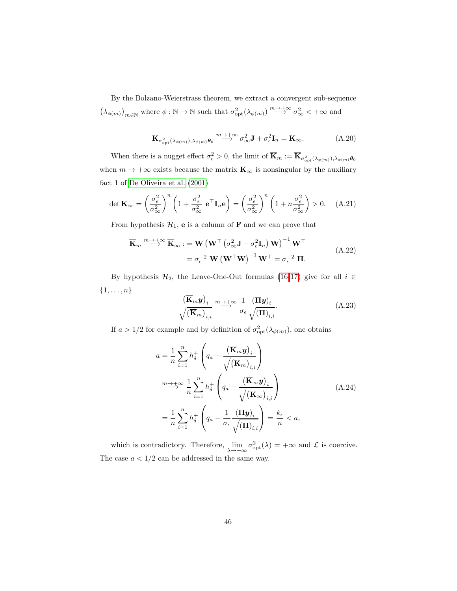By the Bolzano-Weierstrass theorem, we extract a convergent sub-sequence  $(\lambda_{\phi(m)})_{m \in \mathbb{N}}$  where  $\phi : \mathbb{N} \to \mathbb{N}$  such that  $\sigma_{\text{opt}}^2(\lambda_{\phi(m)}) \stackrel{m \to +\infty}{\longrightarrow} \sigma_{\infty}^2 < +\infty$  and

$$
\mathbf{K}_{\sigma_{\rm opt}^2(\lambda_{\phi(m)}),\lambda_{\phi(m)}\theta_0} \stackrel{m \to +\infty}{\longrightarrow} \sigma_{\infty}^2 \mathbf{J} + \sigma_{\epsilon}^2 \mathbf{I}_n = \mathbf{K}_{\infty}.
$$
 (A.20)

When there is a nugget effect  $\sigma_{\epsilon}^2 > 0$ , the limit of  $\overline{\mathbf{K}}_m := \overline{\mathbf{K}}_{\sigma_{\text{opt}}^2(\lambda_{\phi(m)}), \lambda_{\phi(m)}} \theta_0$ when  $m \rightarrow +\infty$  exists because the matrix  $\mathbf{K}_{\infty}$  is nonsingular by the auxiliary fact 1 of [De Oliveira et al.](#page-35-7) [\(2001\)](#page-35-7)

$$
\det \mathbf{K}_{\infty} = \left(\frac{\sigma_{\epsilon}^{2}}{\sigma_{\infty}^{2}}\right)^{n} \left(1 + \frac{\sigma_{\epsilon}^{2}}{\sigma_{\infty}^{2}} \mathbf{e}^{\top} \mathbf{I}_{n} \mathbf{e}\right) = \left(\frac{\sigma_{\epsilon}^{2}}{\sigma_{\infty}^{2}}\right)^{n} \left(1 + n \frac{\sigma_{\epsilon}^{2}}{\sigma_{\infty}^{2}}\right) > 0. \quad (A.21)
$$

From hypothesis  $\mathcal{H}_1$ , **e** is a column of **F** and we can prove that

$$
\overline{\mathbf{K}}_{m} \stackrel{m \to +\infty}{\longrightarrow} \overline{\mathbf{K}}_{\infty} := \mathbf{W} \left( \mathbf{W}^{\top} \left( \sigma_{\infty}^{2} \mathbf{J} + \sigma_{\epsilon}^{2} \mathbf{I}_{n} \right) \mathbf{W} \right)^{-1} \mathbf{W}^{\top}
$$
\n
$$
= \sigma_{\epsilon}^{-2} \mathbf{W} \left( \mathbf{W}^{\top} \mathbf{W} \right)^{-1} \mathbf{W}^{\top} = \sigma_{\epsilon}^{-2} \mathbf{I}.
$$
\n(A.22)

By hypothesis  $\mathcal{H}_2$ , the Leave-One-Out formulas [\(16-](#page-9-2)[17\)](#page-9-3) give for all  $i \in$ {1*, . . . , n*}

$$
\frac{(\overline{\mathbf{K}}_m \mathbf{y})_i}{\sqrt{(\overline{\mathbf{K}}_m)_{i,i}}}\stackrel{m\to +\infty}{\longrightarrow} \frac{1}{\sigma_{\epsilon}} \frac{(\Pi \mathbf{y})_i}{\sqrt{(\Pi)_{i,i}}}.
$$
\n(A.23)

If  $a > 1/2$  for example and by definition of  $\sigma_{\rm opt}^2(\lambda_{\phi(m)})$ , one obtains

$$
a = \frac{1}{n} \sum_{i=1}^{n} h_{\delta}^{+} \left( q_a - \frac{(\overline{\mathbf{K}}_m \mathbf{y})_i}{\sqrt{(\overline{\mathbf{K}}_m)_{i,i}}} \right)
$$
  
\n
$$
\xrightarrow{m \to +\infty} \frac{1}{n} \sum_{i=1}^{n} h_{\delta}^{+} \left( q_a - \frac{(\overline{\mathbf{K}}_{\infty} \mathbf{y})_i}{\sqrt{(\overline{\mathbf{K}}_{\infty})_{i,i}}} \right)
$$
  
\n
$$
= \frac{1}{n} \sum_{i=1}^{n} h_{\delta}^{+} \left( q_a - \frac{1}{\sigma_{\epsilon}} \frac{(\mathbf{\Pi} \mathbf{y})_i}{\sqrt{(\mathbf{\Pi})_{i,i}}} \right) = \frac{k_{\epsilon}}{n} < a,
$$
\n(A.24)

which is contradictory. Therefore,  $\lim_{\lambda \to +\infty} \sigma_{\text{opt}}^2(\lambda) = +\infty$  and  $\mathcal{L}$  is coercive. The case  $a < 1/2$  can be addressed in the same way.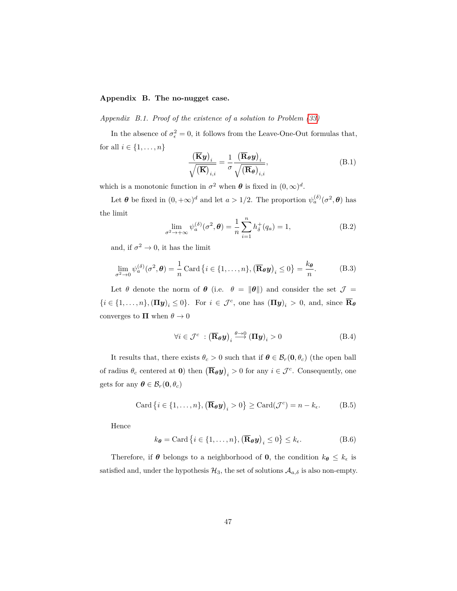# <span id="page-46-0"></span>**Appendix B. The no-nugget case.**

*Appendix B.1. Proof of the existence of a solution to Problem [\(33\)](#page-13-0)*

In the absence of  $\sigma_{\epsilon}^2 = 0$ , it follows from the Leave-One-Out formulas that, for all  $i \in \{1, ..., n\}$ 

$$
\frac{\left(\overline{\mathbf{K}}\mathbf{y}\right)_i}{\sqrt{\left(\overline{\mathbf{K}}\right)_{i,i}}} = \frac{1}{\sigma} \frac{\left(\overline{\mathbf{R}}_{\boldsymbol{\theta}}\mathbf{y}\right)_i}{\sqrt{\left(\overline{\mathbf{R}}_{\boldsymbol{\theta}}\right)_{i,i}}},\tag{B.1}
$$

which is a monotonic function in  $\sigma^2$  when  $\theta$  is fixed in  $(0, \infty)^d$ .

Let  $\theta$  be fixed in  $(0, +\infty)^d$  and let  $a > 1/2$ . The proportion  $\psi_a^{(\delta)}(\sigma^2, \theta)$  has the limit

$$
\lim_{\sigma^2 \to +\infty} \psi_a^{(\delta)}(\sigma^2, \boldsymbol{\theta}) = \frac{1}{n} \sum_{i=1}^n h_\delta^+(q_a) = 1,
$$
\n(B.2)

and, if  $\sigma^2 \to 0$ , it has the limit

$$
\lim_{\sigma^2 \to 0} \psi_a^{(\delta)}(\sigma^2, \boldsymbol{\theta}) = \frac{1}{n} \operatorname{Card} \{ i \in \{1, \dots, n\}, \left( \overline{\mathbf{R}}_{\boldsymbol{\theta}} \boldsymbol{y} \right)_i \le 0 \} = \frac{k_{\boldsymbol{\theta}}}{n}.
$$
 (B.3)

Let  $\theta$  denote the norm of  $\theta$  (i.e.  $\theta = ||\theta||$ ) and consider the set  $\mathcal{J} =$  $\{i \in \{1, \ldots, n\}, (\Pi y)_i \leq 0\}$ . For  $i \in \mathcal{J}^c$ , one has  $(\Pi y)_i > 0$ , and, since  $\overline{\mathbf{R}}_{\theta}$ converges to  $\Pi$  when  $\theta \to 0$ 

$$
\forall i \in \mathcal{J}^c \; : \left(\overline{\mathbf{R}}_{\theta} \mathbf{y}\right)_i \stackrel{\theta \to 0}{\longrightarrow} \left(\mathbf{\Pi} \mathbf{y}\right)_i > 0 \tag{B.4}
$$

It results that, there exists  $\theta_c > 0$  such that if  $\theta \in \mathcal{B}_r(\mathbf{0}, \theta_c)$  (the open ball of radius  $\theta_c$  centered at **0**) then  $(\overline{\mathbf{R}}_{\theta} \mathbf{y})_i > 0$  for any  $i \in \mathcal{J}^c$ . Consequently, one gets for any  $\boldsymbol{\theta} \in \mathcal{B}_r(\mathbf{0}, \theta_c)$ 

$$
\text{Card}\left\{i\in\{1,\ldots,n\},\left(\overline{\mathbf{R}}_{\boldsymbol{\theta}}\boldsymbol{y}\right)_i>0\right\}\geq\text{Card}(\mathcal{J}^c)=n-k_{\epsilon}.\tag{B.5}
$$

Hence

$$
k_{\theta} = \text{Card}\left\{i \in \{1, \dots, n\}, \left(\overline{\mathbf{R}}_{\theta}\mathbf{y}\right)_i \le 0\right\} \le k_{\epsilon}.
$$
 (B.6)

Therefore, if  $\theta$  belongs to a neighborhood of **0**, the condition  $k_{\theta} \leq k_{\epsilon}$  is satisfied and, under the hypothesis  $\mathcal{H}_3$ , the set of solutions  $\mathcal{A}_{a,\delta}$  is also non-empty.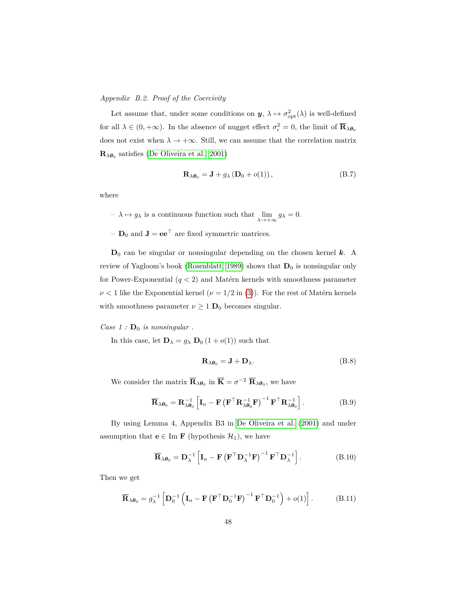# *Appendix B.2. Proof of the Coercivity*

Let assume that, under some conditions on  $y$ ,  $\lambda \mapsto \sigma_{\rm opt}^2(\lambda)$  is well-defined for all  $\lambda \in (0, +\infty)$ . In the absence of nugget effect  $\sigma_{\epsilon}^2 = 0$ , the limit of  $\overline{\mathbf{R}}_{\lambda} \theta_0$ does not exist when  $\lambda \to +\infty$ . Still, we can assume that the correlation matrix  $\mathbf{R}_{\lambda\theta_0}$  satisfies [\(De Oliveira et al., 2001\)](#page-35-7)

$$
\mathbf{R}_{\lambda\theta_0} = \mathbf{J} + g_{\lambda} (\mathbf{D}_0 + o(1)), \tag{B.7}
$$

where

 $-\lambda \mapsto g_{\lambda}$  is a continuous function such that  $\lim_{\lambda \to +\infty} g_{\lambda} = 0$ .

–  $\mathbf{D}_0$  and  $\mathbf{J} = \mathbf{e} \mathbf{e}^\top$  are fixed symmetric matrices.

 $D_0$  can be singular or nonsingular depending on the chosen kernel  $k$ . A review of Yagloom's book [\(Rosenblatt, 1989\)](#page-39-8) shows that  $D_0$  is nonsingular only for Power-Exponential  $(q < 2)$  and Matérn kernels with smoothness parameter  $\nu < 1$  like the Exponential kernel  $(\nu = 1/2$  in [\(3\)](#page-5-0)). For the rest of Matérn kernels with smoothness parameter  $\nu \geq 1$   $\mathbf{D}_0$  becomes singular.

*Case 1* :  $\mathbf{D}_0$  *is nonsingular*.

In this case, let  $\mathbf{D}_{\lambda} = g_{\lambda} \mathbf{D}_0 (1 + o(1))$  such that

$$
\mathbf{R}_{\lambda\theta_0} = \mathbf{J} + \mathbf{D}_{\lambda}.\tag{B.8}
$$

We consider the matrix  $\overline{\mathbf{R}}_{\lambda\theta_0}$  in  $\overline{\mathbf{K}} = \sigma^{-2} \overline{\mathbf{R}}_{\lambda\theta_0}$ , we have

$$
\overline{\mathbf{R}}_{\lambda\theta_0} = \mathbf{R}_{\lambda\theta_0}^{-1} \left[ \mathbf{I}_n - \mathbf{F} \left( \mathbf{F}^\top \mathbf{R}_{\lambda\theta_0}^{-1} \mathbf{F} \right)^{-1} \mathbf{F}^\top \mathbf{R}_{\lambda\theta_0}^{-1} \right]. \tag{B.9}
$$

By using Lemma 4, Appendix B3 in [De Oliveira et al.](#page-35-7) [\(2001\)](#page-35-7) and under assumption that **e**  $\in$  Im **F** (hypothesis  $\mathcal{H}_1$ ), we have

$$
\overline{\mathbf{R}}_{\lambda\theta_0} = \mathbf{D}_{\lambda}^{-1} \left[ \mathbf{I}_n - \mathbf{F} \left( \mathbf{F}^{\top} \mathbf{D}_{\lambda}^{-1} \mathbf{F} \right)^{-1} \mathbf{F}^{\top} \mathbf{D}_{\lambda}^{-1} \right]. \tag{B.10}
$$

Then we get

$$
\overline{\mathbf{R}}_{\lambda\theta_0} = g_{\lambda}^{-1} \left[ \mathbf{D}_0^{-1} \left( \mathbf{I}_n - \mathbf{F} \left( \mathbf{F}^\top \mathbf{D}_0^{-1} \mathbf{F} \right)^{-1} \mathbf{F}^\top \mathbf{D}_0^{-1} \right) + o(1) \right]. \tag{B.11}
$$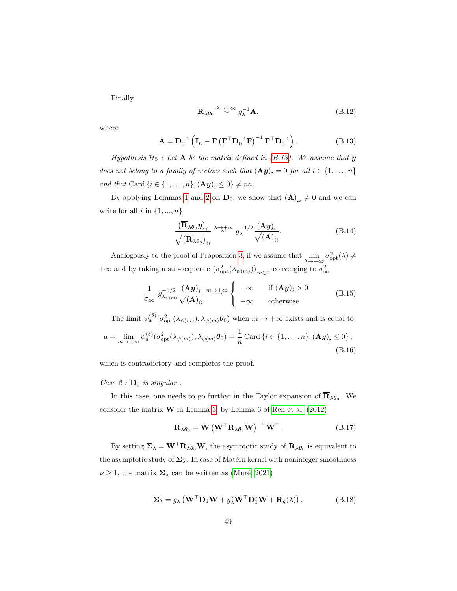Finally

$$
\overline{\mathbf{R}}_{\lambda\theta_0} \stackrel{\lambda \to +\infty}{\sim} g_{\lambda}^{-1} \mathbf{A},\tag{B.12}
$$

<span id="page-48-0"></span>where

$$
\mathbf{A} = \mathbf{D}_0^{-1} \left( \mathbf{I}_n - \mathbf{F} \left( \mathbf{F}^\top \mathbf{D}_0^{-1} \mathbf{F} \right)^{-1} \mathbf{F}^\top \mathbf{D}_0^{-1} \right). \tag{B.13}
$$

*Hypothesis*  $H_5$  *: Let* **A** *be the matrix defined in [\(B.13\)](#page-48-0). We assume that y does not belong to a family of vectors such that*  $(\mathbf{A}\mathbf{y})_i = 0$  *for all*  $i \in \{1, ..., n\}$ *and that* Card  $\{i \in \{1, ..., n\}, (\mathbf{A}\mathbf{y})_i \leq 0\} \neq na$ *.* 

By applying Lemmas [1](#page-41-2) and [2](#page-41-3) on  $D_0$ , we show that  $(A)_{ii} \neq 0$  and we can write for all  $i$  in  $\{1, ..., n\}$ 

$$
\frac{\left(\overline{\mathbf{R}}_{\lambda\theta_{0}}\mathbf{y}\right)_{i}}{\sqrt{\left(\overline{\mathbf{R}}_{\lambda\theta_{0}}\right)_{ii}}}\xrightarrow{\lambda\to+\infty}g_{\lambda}^{-1/2}\frac{\left(\mathbf{A}\mathbf{y}\right)_{i}}{\sqrt{\left(\mathbf{A}\right)_{ii}}}.
$$
\n(B.14)

Analogously to the proof of Proposition [3,](#page-16-1) if we assume that  $\lim_{\lambda \to +\infty} \sigma_{opt}^2(\lambda) \neq$  $+\infty$  and by taking a sub-sequence  $(\sigma_{\text{opt}}^2(\lambda_{\psi(m)}))_{m \in \mathbb{N}}$  converging to  $\sigma_{\infty}^2$ 

$$
\frac{1}{\sigma_{\infty}} g_{\lambda_{\psi(m)}}^{-1/2} \frac{(\mathbf{A}\mathbf{y})_i}{\sqrt{(\mathbf{A})_{ii}}} \xrightarrow{m \to +\infty} \begin{cases} +\infty & \text{if } (\mathbf{A}\mathbf{y})_i > 0 \\ -\infty & \text{otherwise} \end{cases}
$$
(B.15)

The limit  $\psi_a^{(\delta)}(\sigma_{\text{opt}}^2(\lambda_{\psi(m)}), \lambda_{\psi(m)}\theta_0)$  when  $m \to +\infty$  exists and is equal to

$$
a = \lim_{m \to +\infty} \psi_a^{(\delta)}(\sigma_{\text{opt}}^2(\lambda_{\psi(m)}), \lambda_{\psi(m)}\boldsymbol{\theta}_0) = \frac{1}{n} \operatorname{Card} \{i \in \{1, \dots, n\}, (\mathbf{A}\boldsymbol{y})_i \le 0\},\tag{B.16}
$$

which is contradictory and completes the proof.

# *Case 2* :  $D_0$  *is singular*.

In this case, one needs to go further in the Taylor expansion of  $\mathbf{R}_{\lambda\theta_0}$ . We consider the matrix **W** in Lemma [3,](#page-41-0) by Lemma 6 of [Ren et al.](#page-38-8) [\(2012\)](#page-38-8)

$$
\overline{\mathbf{R}}_{\lambda\theta_0} = \mathbf{W} \left( \mathbf{W}^\top \mathbf{R}_{\lambda\theta_0} \mathbf{W} \right)^{-1} \mathbf{W}^\top. \tag{B.17}
$$

<span id="page-48-1"></span>By setting  $\Sigma_{\lambda} = \mathbf{W}^{\top} \mathbf{R}_{\lambda} \theta_0 \mathbf{W}$ , the asymptotic study of  $\overline{\mathbf{R}}_{\lambda} \theta_0$  is equivalent to the asymptotic study of  $\Sigma_{\lambda}$ . In case of Matérn kernel with noninteger smoothness  $\nu \geq 1$ , the matrix  $\Sigma_{\lambda}$  can be written as [\(Muré, 2021\)](#page-37-9)

$$
\Sigma_{\lambda} = g_{\lambda} \left( \mathbf{W}^{\top} \mathbf{D}_{1} \mathbf{W} + g_{\lambda}^{*} \mathbf{W}^{\top} \mathbf{D}_{1}^{*} \mathbf{W} + \mathbf{R}_{g}(\lambda) \right), \tag{B.18}
$$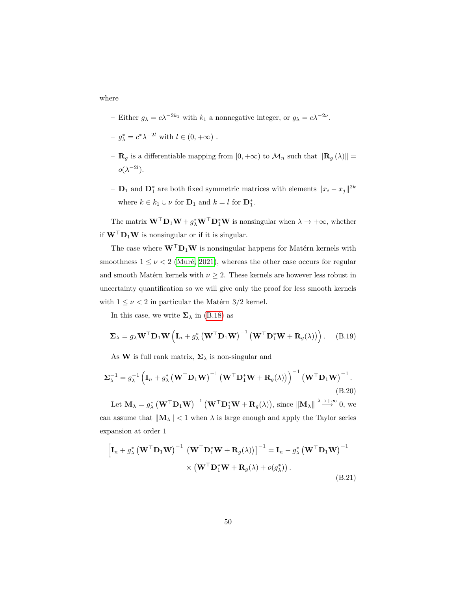where

- Either *g*<sub>λ</sub> = *c*λ<sup>−2*k*<sub>1</sub></sub> with *k*<sub>1</sub><sup>a</sup> a nonnegative integer, or *g*<sub>λ</sub> = *c*λ<sup>−2*ν*</sup>.</sup>
- $-g_{\lambda}^* = c^* \lambda^{-2l}$  with  $l \in (0, +\infty)$ .
- **R**<sub>g</sub> is a differentiable mapping from  $[0, +\infty)$  to  $\mathcal{M}_n$  such that  $\|\mathbf{R}_g(\lambda)\|$  =  $o(\lambda^{-2l}).$
- −  $D_1$  and  $D_1^*$  are both fixed symmetric matrices with elements  $||x_i x_j||^{2k}$ where  $k \in k_1 \cup \nu$  for  $\mathbf{D}_1$  and  $k = l$  for  $\mathbf{D}_1^*$ .

The matrix  $\mathbf{W}^\top \mathbf{D}_1 \mathbf{W} + g_\lambda^* \mathbf{W}^\top \mathbf{D}_1^* \mathbf{W}$  is nonsingular when  $\lambda \to +\infty$ , whether if  $W<sup>T</sup>D<sub>1</sub>W$  is nonsingular or if it is singular.

The case where  $\mathbf{W}^\top \mathbf{D}_1 \mathbf{W}$  is nonsingular happens for Matérn kernels with smoothness  $1 \leq \nu < 2$  [\(Muré, 2021\)](#page-37-9), whereas the other case occurs for regular and smooth Matérn kernels with  $\nu \geq 2$ . These kernels are however less robust in uncertainty quantification so we will give only the proof for less smooth kernels with  $1 \leq \nu < 2$  in particular the Matérn 3/2 kernel.

In this case, we write  $\Sigma_{\lambda}$  in [\(B.18\)](#page-48-1) as

$$
\Sigma_{\lambda} = g_{\lambda} \mathbf{W}^{\top} \mathbf{D}_{1} \mathbf{W} \left( \mathbf{I}_{n} + g_{\lambda}^{*} \left( \mathbf{W}^{\top} \mathbf{D}_{1} \mathbf{W} \right)^{-1} \left( \mathbf{W}^{\top} \mathbf{D}_{1}^{*} \mathbf{W} + \mathbf{R}_{g}(\lambda) \right) \right). \tag{B.19}
$$

<span id="page-49-0"></span>As **W** is full rank matrix,  $\Sigma_{\lambda}$  is non-singular and

$$
\Sigma_{\lambda}^{-1} = g_{\lambda}^{-1} \left( \mathbf{I}_n + g_{\lambda}^* \left( \mathbf{W}^{\top} \mathbf{D}_1 \mathbf{W} \right)^{-1} \left( \mathbf{W}^{\top} \mathbf{D}_1^* \mathbf{W} + \mathbf{R}_g(\lambda) \right) \right)^{-1} \left( \mathbf{W}^{\top} \mathbf{D}_1 \mathbf{W} \right)^{-1}.
$$
\n(B.20)

Let  $\mathbf{M}_{\lambda} = g_{\lambda}^{*} \left( \mathbf{W}^{\top} \mathbf{D}_{1} \mathbf{W} \right)^{-1} \left( \mathbf{W}^{\top} \mathbf{D}_{1}^{*} \mathbf{W} + \mathbf{R}_{g}(\lambda) \right)$ , since  $\|\mathbf{M}_{\lambda}\| \stackrel{\lambda \to +\infty}{\longrightarrow} 0$ , we can assume that  $||\mathbf{M}_{\lambda}|| < 1$  when  $\lambda$  is large enough and apply the Taylor series expansion at order 1

$$
\begin{aligned} \left[\mathbf{I}_n + g_{\lambda}^* \left(\mathbf{W}^{\top} \mathbf{D}_1 \mathbf{W}\right)^{-1} \left(\mathbf{W}^{\top} \mathbf{D}_1^* \mathbf{W} + \mathbf{R}_g(\lambda)\right)\right]^{-1} &= \mathbf{I}_n - g_{\lambda}^* \left(\mathbf{W}^{\top} \mathbf{D}_1 \mathbf{W}\right)^{-1} \\ &\times \left(\mathbf{W}^{\top} \mathbf{D}_1^* \mathbf{W} + \mathbf{R}_g(\lambda) + o(g_{\lambda}^*)\right). \end{aligned} \tag{B.21}
$$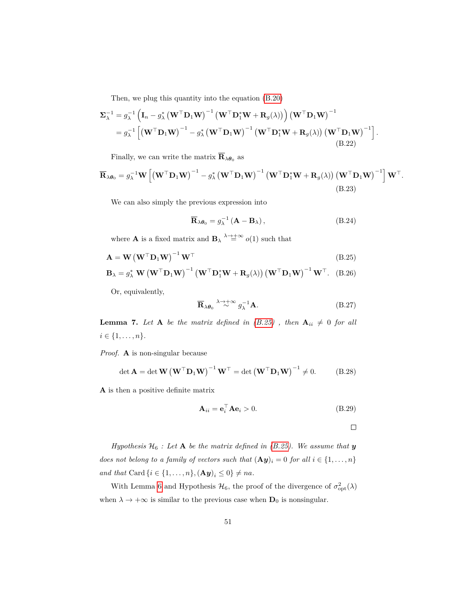Then, we plug this quantity into the equation [\(B.20\)](#page-49-0)

$$
\Sigma_{\lambda}^{-1} = g_{\lambda}^{-1} \left( \mathbf{I}_{n} - g_{\lambda}^{*} \left( \mathbf{W}^{\top} \mathbf{D}_{1} \mathbf{W} \right)^{-1} \left( \mathbf{W}^{\top} \mathbf{D}_{1}^{*} \mathbf{W} + \mathbf{R}_{g}(\lambda) \right) \right) \left( \mathbf{W}^{\top} \mathbf{D}_{1} \mathbf{W} \right)^{-1} \n= g_{\lambda}^{-1} \left[ \left( \mathbf{W}^{\top} \mathbf{D}_{1} \mathbf{W} \right)^{-1} - g_{\lambda}^{*} \left( \mathbf{W}^{\top} \mathbf{D}_{1} \mathbf{W} \right)^{-1} \left( \mathbf{W}^{\top} \mathbf{D}_{1}^{*} \mathbf{W} + \mathbf{R}_{g}(\lambda) \right) \left( \mathbf{W}^{\top} \mathbf{D}_{1} \mathbf{W} \right)^{-1} \right] \n(B.22)
$$

Finally, we can write the matrix  $\overline{\mathbf{R}}_{\lambda \theta_0}$  as

$$
\overline{\mathbf{R}}_{\lambda\theta_0} = g_{\lambda}^{-1} \mathbf{W} \left[ \left( \mathbf{W}^{\top} \mathbf{D}_1 \mathbf{W} \right)^{-1} - g_{\lambda}^* \left( \mathbf{W}^{\top} \mathbf{D}_1 \mathbf{W} \right)^{-1} \left( \mathbf{W}^{\top} \mathbf{D}_1^* \mathbf{W} + \mathbf{R}_g(\lambda) \right) \left( \mathbf{W}^{\top} \mathbf{D}_1 \mathbf{W} \right)^{-1} \right] \mathbf{W}^{\top}.
$$
\n(B.23)

We can also simply the previous expression into

$$
\overline{\mathbf{R}}_{\lambda\theta_0} = g_{\lambda}^{-1} (\mathbf{A} - \mathbf{B}_{\lambda}), \qquad (B.24)
$$

where **A** is a fixed matrix and **B**<sub> $\lambda$ </sub> $\rightarrow +\infty$ </sub>  $o(1)$  such that

$$
\mathbf{A} = \mathbf{W} \left( \mathbf{W}^{\top} \mathbf{D}_1 \mathbf{W} \right)^{-1} \mathbf{W}^{\top}
$$
\n(B.25)

$$
\mathbf{B}_{\lambda} = g_{\lambda}^{*} \mathbf{W} \left( \mathbf{W}^{\top} \mathbf{D}_{1} \mathbf{W} \right)^{-1} \left( \mathbf{W}^{\top} \mathbf{D}_{1}^{*} \mathbf{W} + \mathbf{R}_{g}(\lambda) \right) \left( \mathbf{W}^{\top} \mathbf{D}_{1} \mathbf{W} \right)^{-1} \mathbf{W}^{\top}.
$$
 (B.26)

Or, equivalently,

$$
\overline{\mathbf{R}}_{\lambda\theta_0} \stackrel{\lambda \to +\infty}{\sim} g_{\lambda}^{-1} \mathbf{A}.
$$
 (B.27)

**Lemma 7.** Let **A** be the matrix defined in  $(B.25)$ , then  $\mathbf{A}_{ii} \neq 0$  for all  $i \in \{1, \ldots, n\}.$ 

*Proof.* **A** is non-singular because

$$
\det \mathbf{A} = \det \mathbf{W} \left( \mathbf{W}^{\top} \mathbf{D}_1 \mathbf{W} \right)^{-1} \mathbf{W}^{\top} = \det \left( \mathbf{W}^{\top} \mathbf{D}_1 \mathbf{W} \right)^{-1} \neq 0. \tag{B.28}
$$

**A** is then a positive definite matrix

$$
\mathbf{A}_{ii} = \mathbf{e}_i^{\top} \mathbf{A} \mathbf{e}_i > 0. \tag{B.29}
$$

 $\Box$ 

<span id="page-50-0"></span>*.*

*Hypothesis*  $H_6$  *: Let* **A** *be the matrix defined in [\(B.25\)](#page-50-0). We assume that y does not belong to a family of vectors such that*  $(\mathbf{A}\mathbf{y})_i = 0$  *for all*  $i \in \{1, \ldots, n\}$ *and that* Card  $\{i \in \{1, ..., n\}, (\mathbf{A}\mathbf{y})_i \leq 0\} \neq na$ *.* 

With Lemma [6](#page-43-0) and Hypothesis  $\mathcal{H}_6$ , the proof of the divergence of  $\sigma_{\rm opt}^2(\lambda)$ when  $\lambda \to +\infty$  is similar to the previous case when  $\mathbf{D}_0$  is nonsingular.